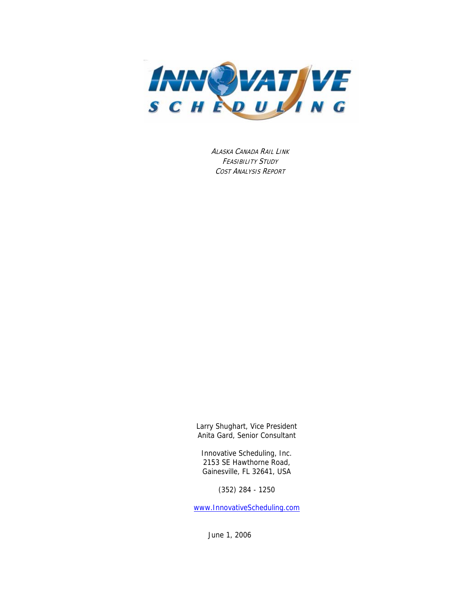

ALASKA CANADA RAIL LINK FEASIBILITY STUDY COST ANALYSIS REPORT

Larry Shughart, Vice President Anita Gard, Senior Consultant

Innovative Scheduling, Inc. 2153 SE Hawthorne Road, Gainesville, FL 32641, USA

(352) 284 - 1250

[www.InnovativeScheduling.com](http://www.innovativescheduling.com/)

June 1, 2006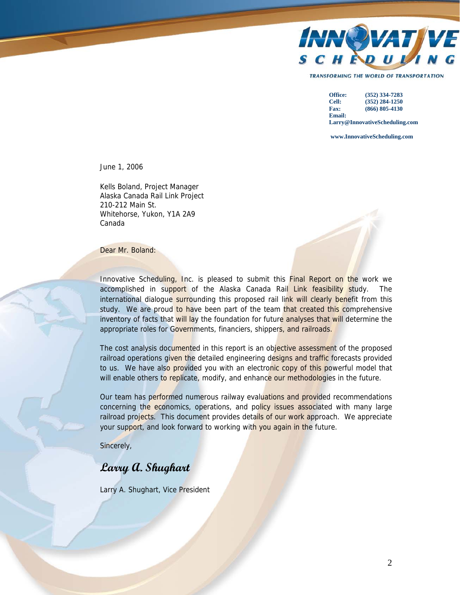

**TRANSFORMING THE WORLD OF TRANSPORTATION** 

**Office: (352) 334-7283 Cell: (352) 284-1250 Fax: (866) 805-4130 Email: Larry@InnovativeScheduling.com**

 **www.InnovativeScheduling.com**

June 1, 2006

Kells Boland, Project Manager Alaska Canada Rail Link Project 210-212 Main St. Whitehorse, Yukon, Y1A 2A9 Canada

Dear Mr. Boland:

Innovative Scheduling, Inc. is pleased to submit this **Final Report on the work we** accomplished in support of the Alaska Canada Rail Link feasibility study. The international dialogue surrounding this proposed rail link will clearly benefit from this study. We are proud to have been part of the team that created this comprehensive inventory of facts that will lay the foundation for future analyses that will determine the appropriate roles for Governments, financiers, shippers, and railroads.

The cost analysis documented in this report is an objective assessment of the proposed railroad operations given the detailed engineering designs and traffic forecasts provided to us. We have also provided you with an electronic copy of this powerful model that will enable others to replicate, modify, and enhance our methodologies in the future.

Our team has performed numerous railway evaluations and provided recommendations concerning the economics, operations, and policy issues associated with many large railroad projects. This document provides details of our work approach. We appreciate your support, and look forward to working with you again in the future.

Sincerely,

# **Larry A. Shughart**

Larry A. Shughart, Vice President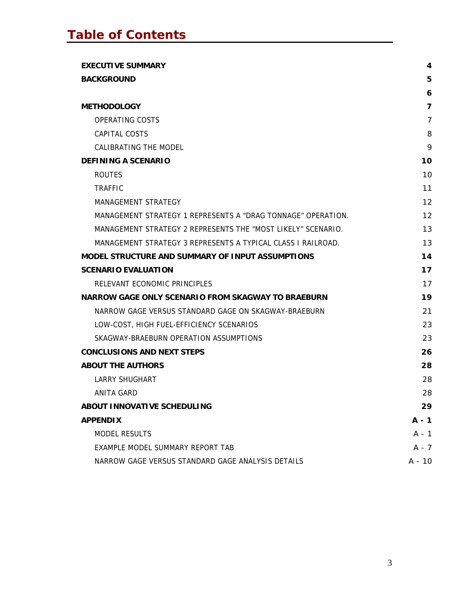| <b>EXECUTIVE SUMMARY</b>                                     | 4              |
|--------------------------------------------------------------|----------------|
| <b>BACKGROUND</b>                                            | 5              |
|                                                              | 6              |
| <b>METHODOLOGY</b>                                           | $\overline{7}$ |
| OPERATING COSTS                                              | 7              |
| CAPITAL COSTS                                                | 8              |
| <b>CALIBRATING THE MODEL</b>                                 | 9              |
| <b>DEFINING A SCENARIO</b>                                   | 10             |
| <b>ROUTES</b>                                                | 10             |
| <b>TRAFFIC</b>                                               | 11             |
| <b>MANAGEMENT STRATEGY</b>                                   | 12             |
| MANAGEMENT STRATEGY 1 REPRESENTS A "DRAG TONNAGE" OPERATION. | 12             |
| MANAGEMENT STRATEGY 2 REPRESENTS THE "MOST LIKELY" SCENARIO. | 13             |
| MANAGEMENT STRATEGY 3 REPRESENTS A TYPICAL CLASS I RAILROAD. | 13             |
| <b>MODEL STRUCTURE AND SUMMARY OF INPUT ASSUMPTIONS</b>      | 14             |
| <b>SCENARIO EVALUATION</b>                                   | 17             |
| RELEVANT ECONOMIC PRINCIPLES                                 | 17             |
| <b>NARROW GAGE ONLY SCENARIO FROM SKAGWAY TO BRAEBURN</b>    | 19             |
| NARROW GAGE VERSUS STANDARD GAGE ON SKAGWAY-BRAEBURN         | 21             |
| LOW-COST, HIGH FUEL-EFFICIENCY SCENARIOS                     | 23             |
| SKAGWAY-BRAEBURN OPERATION ASSUMPTIONS                       | 23             |
| <b>CONCLUSIONS AND NEXT STEPS</b>                            | 26             |
| <b>ABOUT THE AUTHORS</b>                                     | 28             |
| <b>LARRY SHUGHART</b>                                        | 28             |
| ANITA GARD                                                   | 28             |
| ABOUT INNOVATIVE SCHEDULING                                  | 29             |
| <b>APPENDIX</b>                                              | A - 1          |
| <b>MODEL RESULTS</b>                                         | $A - 1$        |
| EXAMPLE MODEL SUMMARY REPORT TAB                             | $A - 7$        |
| NARROW GAGE VERSUS STANDARD GAGE ANALYSIS DETAILS            | $A - 10$       |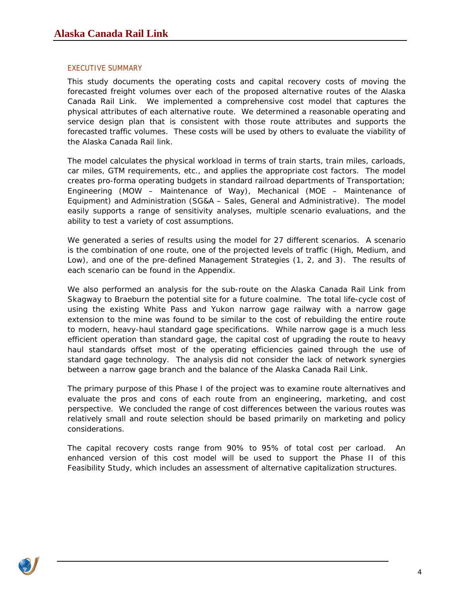### <span id="page-3-0"></span>EXECUTIVE SUMMARY

This study documents the operating costs and capital recovery costs of moving the forecasted freight volumes over each of the proposed alternative routes of the Alaska Canada Rail Link. We implemented a comprehensive cost model that captures the physical attributes of each alternative route. We determined a reasonable operating and service design plan that is consistent with those route attributes and supports the forecasted traffic volumes. These costs will be used by others to evaluate the viability of the Alaska Canada Rail link.

The model calculates the physical workload in terms of train starts, train miles, carloads, car miles, GTM requirements, etc., and applies the appropriate cost factors. The model creates pro-forma operating budgets in standard railroad departments of Transportation; Engineering (MOW – Maintenance of Way), Mechanical (MOE – Maintenance of Equipment) and Administration (SG&A – Sales, General and Administrative). The model easily supports a range of sensitivity analyses, multiple scenario evaluations, and the ability to test a variety of cost assumptions.

We generated a series of results using the model for 27 different scenarios. A scenario is the combination of one route, one of the projected levels of traffic (High, Medium, and Low), and one of the pre-defined Management Strategies (1, 2, and 3). The results of each scenario can be found in the Appendix.

We also performed an analysis for the sub-route on the Alaska Canada Rail Link from Skagway to Braeburn the potential site for a future coalmine. The total life-cycle cost of using the existing White Pass and Yukon narrow gage railway with a narrow gage extension to the mine was found to be similar to the cost of rebuilding the entire route to modern, heavy-haul standard gage specifications. While narrow gage is a much less efficient operation than standard gage, the capital cost of upgrading the route to heavy haul standards offset most of the operating efficiencies gained through the use of standard gage technology. The analysis did not consider the lack of network synergies between a narrow gage branch and the balance of the Alaska Canada Rail Link.

The primary purpose of this Phase I of the project was to examine route alternatives and evaluate the pros and cons of each route from an engineering, marketing, and cost perspective. We concluded the range of cost differences between the various routes was relatively small and route selection should be based primarily on marketing and policy considerations.

The capital recovery costs range from 90% to 95% of total cost per carload. An enhanced version of this cost model will be used to support the Phase II of this Feasibility Study, which includes an assessment of alternative capitalization structures.

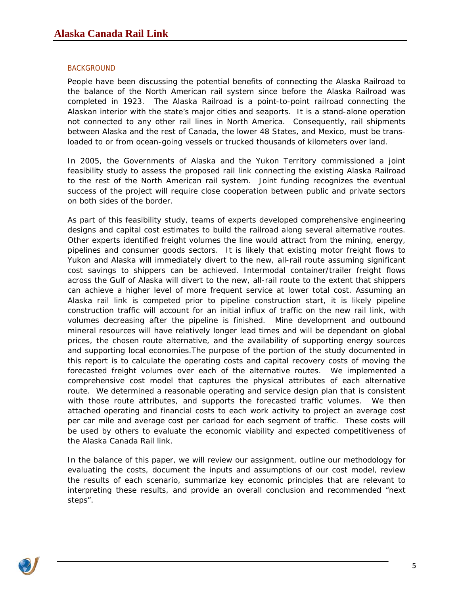### <span id="page-4-0"></span>**BACKGROUND**

People have been discussing the potential benefits of connecting the Alaska Railroad to the balance of the North American rail system since before the Alaska Railroad was completed in 1923. The Alaska Railroad is a point-to-point railroad connecting the Alaskan interior with the state's major cities and seaports. It is a stand-alone operation not connected to any other rail lines in North America. Consequently, rail shipments between Alaska and the rest of Canada, the lower 48 States, and Mexico, must be transloaded to or from ocean-going vessels or trucked thousands of kilometers over land.

In 2005, the Governments of Alaska and the Yukon Territory commissioned a joint feasibility study to assess the proposed rail link connecting the existing Alaska Railroad to the rest of the North American rail system. Joint funding recognizes the eventual success of the project will require close cooperation between public and private sectors on both sides of the border.

As part of this feasibility study, teams of experts developed comprehensive engineering designs and capital cost estimates to build the railroad along several alternative routes. Other experts identified freight volumes the line would attract from the mining, energy, pipelines and consumer goods sectors. It is likely that existing motor freight flows to Yukon and Alaska will immediately divert to the new, all-rail route assuming significant cost savings to shippers can be achieved. Intermodal container/trailer freight flows across the Gulf of Alaska will divert to the new, all-rail route to the extent that shippers can achieve a higher level of more frequent service at lower total cost. Assuming an Alaska rail link is competed prior to pipeline construction start, it is likely pipeline construction traffic will account for an initial influx of traffic on the new rail link, with volumes decreasing after the pipeline is finished. Mine development and outbound mineral resources will have relatively longer lead times and will be dependant on global prices, the chosen route alternative, and the availability of supporting energy sources and supporting local economies.The purpose of the portion of the study documented in this report is to calculate the operating costs and capital recovery costs of moving the forecasted freight volumes over each of the alternative routes. We implemented a comprehensive cost model that captures the physical attributes of each alternative route. We determined a reasonable operating and service design plan that is consistent with those route attributes, and supports the forecasted traffic volumes. We then attached operating and financial costs to each work activity to project an average cost per car mile and average cost per carload for each segment of traffic. These costs will be used by others to evaluate the economic viability and expected competitiveness of the Alaska Canada Rail link.

In the balance of this paper, we will review our assignment, outline our methodology for evaluating the costs, document the inputs and assumptions of our cost model, review the results of each scenario, summarize key economic principles that are relevant to interpreting these results, and provide an overall conclusion and recommended "next steps".

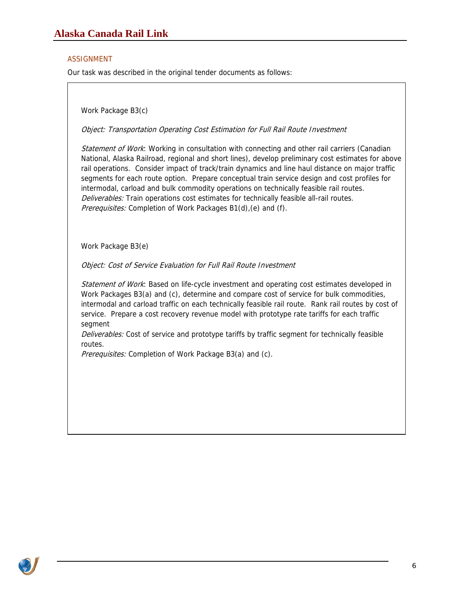#### <span id="page-5-0"></span>ASSIGNMENT

Our task was described in the original tender documents as follows:

Work Package B3(c)

Object: Transportation Operating Cost Estimation for Full Rail Route Investment

Statement of Work: Working in consultation with connecting and other rail carriers (Canadian National, Alaska Railroad, regional and short lines), develop preliminary cost estimates for above rail operations. Consider impact of track/train dynamics and line haul distance on major traffic segments for each route option. Prepare conceptual train service design and cost profiles for intermodal, carload and bulk commodity operations on technically feasible rail routes. Deliverables: Train operations cost estimates for technically feasible all-rail routes. Prerequisites: Completion of Work Packages B1(d), (e) and (f).

Work Package B3(e)

Object: Cost of Service Evaluation for Full Rail Route Investment

Statement of Work: Based on life-cycle investment and operating cost estimates developed in Work Packages B3(a) and (c), determine and compare cost of service for bulk commodities, intermodal and carload traffic on each technically feasible rail route. Rank rail routes by cost of service. Prepare a cost recovery revenue model with prototype rate tariffs for each traffic segment

Deliverables: Cost of service and prototype tariffs by traffic segment for technically feasible routes.

Prerequisites: Completion of Work Package B3(a) and (c).

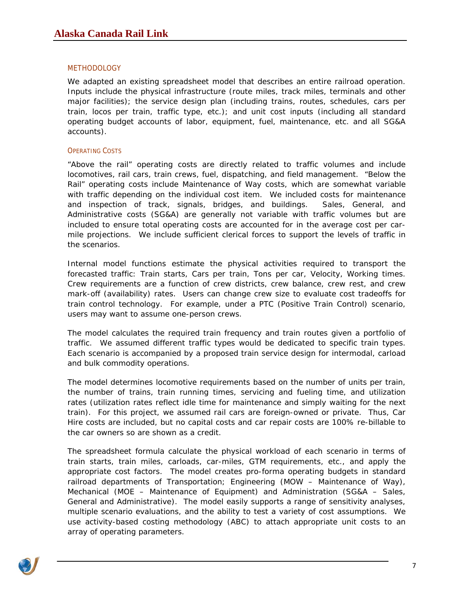#### <span id="page-6-0"></span>**METHODOLOGY**

We adapted an existing spreadsheet model that describes an entire railroad operation. Inputs include the physical infrastructure (route miles, track miles, terminals and other major facilities); the service design plan (including trains, routes, schedules, cars per train, locos per train, traffic type, etc.); and unit cost inputs (including all standard operating budget accounts of labor, equipment, fuel, maintenance, etc. and all SG&A accounts).

#### **OPERATING COSTS**

"Above the rail" operating costs are directly related to traffic volumes and include locomotives, rail cars, train crews, fuel, dispatching, and field management. "Below the Rail" operating costs include Maintenance of Way costs, which are somewhat variable with traffic depending on the individual cost item. We included costs for maintenance and inspection of track, signals, bridges, and buildings. Sales, General, and Administrative costs (SG&A) are generally not variable with traffic volumes but are included to ensure total operating costs are accounted for in the average cost per carmile projections. We include sufficient clerical forces to support the levels of traffic in the scenarios.

Internal model functions estimate the physical activities required to transport the forecasted traffic: Train starts, Cars per train, Tons per car, Velocity, Working times. Crew requirements are a function of crew districts, crew balance, crew rest, and crew mark-off (availability) rates. Users can change crew size to evaluate cost tradeoffs for train control technology. For example, under a PTC (Positive Train Control) scenario, users may want to assume one-person crews.

The model calculates the required train frequency and train routes given a portfolio of traffic. We assumed different traffic types would be dedicated to specific train types. Each scenario is accompanied by a proposed train service design for intermodal, carload and bulk commodity operations.

The model determines locomotive requirements based on the number of units per train, the number of trains, train running times, servicing and fueling time, and utilization rates (utilization rates reflect idle time for maintenance and simply waiting for the next train). For this project, we assumed rail cars are foreign-owned or private. Thus, Car Hire costs are included, but no capital costs and car repair costs are 100% re-billable to the car owners so are shown as a credit.

The spreadsheet formula calculate the physical workload of each scenario in terms of train starts, train miles, carloads, car-miles, GTM requirements, etc., and apply the appropriate cost factors. The model creates pro-forma operating budgets in standard railroad departments of Transportation; Engineering (MOW – Maintenance of Way), Mechanical (MOE – Maintenance of Equipment) and Administration (SG&A – Sales, General and Administrative). The model easily supports a range of sensitivity analyses, multiple scenario evaluations, and the ability to test a variety of cost assumptions. We use activity-based costing methodology (ABC) to attach appropriate unit costs to an array of operating parameters.

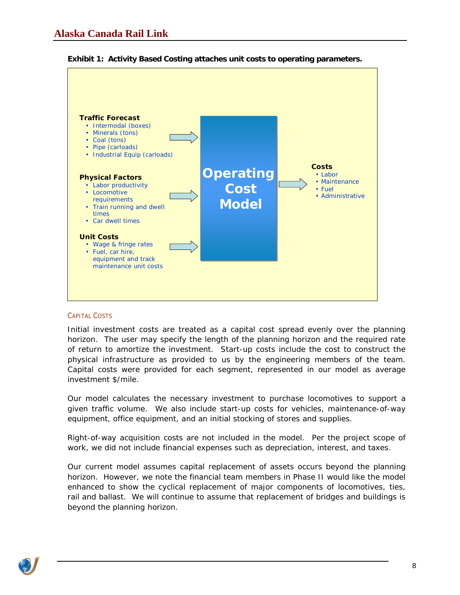

<span id="page-7-0"></span>

#### CAPITAL COSTS

Initial investment costs are treated as a capital cost spread evenly over the planning horizon. The user may specify the length of the planning horizon and the required rate of return to amortize the investment. Start-up costs include the cost to construct the physical infrastructure as provided to us by the engineering members of the team. Capital costs were provided for each segment, represented in our model as average investment \$/mile.

Our model calculates the necessary investment to purchase locomotives to support a given traffic volume. We also include start-up costs for vehicles, maintenance-of-way equipment, office equipment, and an initial stocking of stores and supplies.

Right-of-way acquisition costs are not included in the model. Per the project scope of work, we did not include financial expenses such as depreciation, interest, and taxes.

Our current model assumes capital replacement of assets occurs beyond the planning horizon. However, we note the financial team members in Phase II would like the model enhanced to show the cyclical replacement of major components of locomotives, ties, rail and ballast. We will continue to assume that replacement of bridges and buildings is beyond the planning horizon.

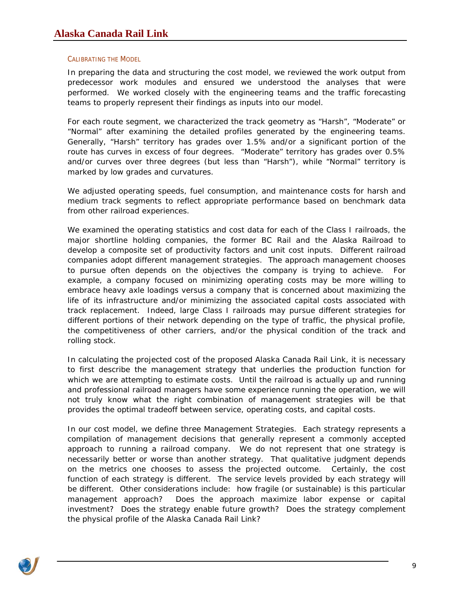#### <span id="page-8-0"></span>CALIBRATING THE MODEL

In preparing the data and structuring the cost model, we reviewed the work output from predecessor work modules and ensured we understood the analyses that were performed. We worked closely with the engineering teams and the traffic forecasting teams to properly represent their findings as inputs into our model.

For each route segment, we characterized the track geometry as "Harsh", "Moderate" or "Normal" after examining the detailed profiles generated by the engineering teams. Generally, "Harsh" territory has grades over 1.5% and/or a significant portion of the route has curves in excess of four degrees. "Moderate" territory has grades over 0.5% and/or curves over three degrees (but less than "Harsh"), while "Normal" territory is marked by low grades and curvatures.

We adjusted operating speeds, fuel consumption, and maintenance costs for harsh and medium track segments to reflect appropriate performance based on benchmark data from other railroad experiences.

We examined the operating statistics and cost data for each of the Class I railroads, the major shortline holding companies, the former BC Rail and the Alaska Railroad to develop a composite set of productivity factors and unit cost inputs. Different railroad companies adopt different management strategies. The approach management chooses to pursue often depends on the objectives the company is trying to achieve. For example, a company focused on minimizing operating costs may be more willing to embrace heavy axle loadings versus a company that is concerned about maximizing the life of its infrastructure and/or minimizing the associated capital costs associated with track replacement. Indeed, large Class I railroads may pursue different strategies for different portions of their network depending on the type of traffic, the physical profile, the competitiveness of other carriers, and/or the physical condition of the track and rolling stock.

In calculating the projected cost of the proposed Alaska Canada Rail Link, it is necessary to first describe the management strategy that underlies the production function for which we are attempting to estimate costs. Until the railroad is actually up and running and professional railroad managers have some experience running the operation, we will not truly know what the right combination of management strategies will be that provides the optimal tradeoff between service, operating costs, and capital costs.

In our cost model, we define three Management Strategies. Each strategy represents a compilation of management decisions that generally represent a commonly accepted approach to running a railroad company. We do not represent that one strategy is necessarily better or worse than another strategy. That qualitative judgment depends on the metrics one chooses to assess the projected outcome. Certainly, the cost function of each strategy is different. The service levels provided by each strategy will be different. Other considerations include: how fragile (or sustainable) is this particular management approach? Does the approach maximize labor expense or capital investment? Does the strategy enable future growth? Does the strategy complement the physical profile of the Alaska Canada Rail Link?

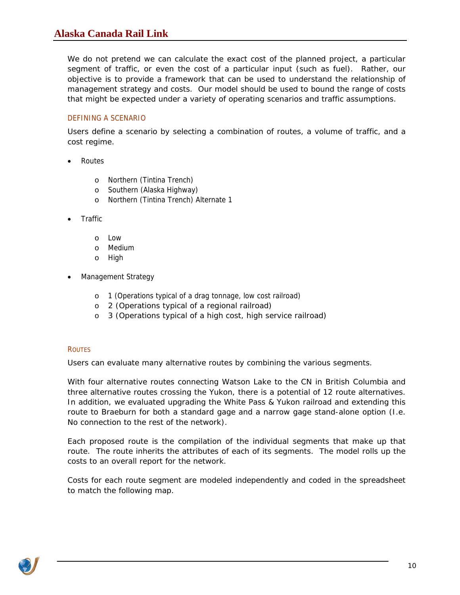## <span id="page-9-0"></span>**Alaska Canada Rail Link**

We do not pretend we can calculate the exact cost of the planned project, a particular segment of traffic, or even the cost of a particular input (such as fuel). Rather, our objective is to provide a framework that can be used to understand the relationship of management strategy and costs. Our model should be used to bound the range of costs that might be expected under a variety of operating scenarios and traffic assumptions.

### DEFINING A SCENARIO

Users define a scenario by selecting a combination of routes, a volume of traffic, and a cost regime.

- Routes
	- o Northern (Tintina Trench)
	- o Southern (Alaska Highway)
	- o Northern (Tintina Trench) Alternate 1
- Traffic
	- o Low
	- o Medium
	- o High
- Management Strategy
	- o 1 (Operations typical of a drag tonnage, low cost railroad)
	- o 2 (Operations typical of a regional railroad)
	- o 3 (Operations typical of a high cost, high service railroad)

#### **ROUTES**

Users can evaluate many alternative routes by combining the various segments.

With four alternative routes connecting Watson Lake to the CN in British Columbia and three alternative routes crossing the Yukon, there is a potential of 12 route alternatives. In addition, we evaluated upgrading the White Pass & Yukon railroad and extending this route to Braeburn for both a standard gage and a narrow gage stand-alone option (I.e. No connection to the rest of the network).

Each proposed route is the compilation of the individual segments that make up that route. The route inherits the attributes of each of its segments. The model rolls up the costs to an overall report for the network.

Costs for each route segment are modeled independently and coded in the spreadsheet to match the following map.

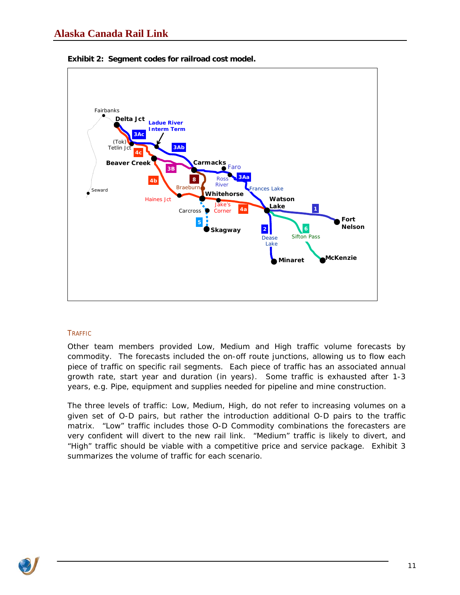

<span id="page-10-0"></span>

#### TRAFFIC

Other team members provided Low, Medium and High traffic volume forecasts by commodity. The forecasts included the on-off route junctions, allowing us to flow each piece of traffic on specific rail segments. Each piece of traffic has an associated annual growth rate, start year and duration (in years). Some traffic is exhausted after 1-3 years, e.g. Pipe, equipment and supplies needed for pipeline and mine construction.

The three levels of traffic: Low, Medium, High, do not refer to increasing volumes on a given set of O-D pairs, but rather the introduction additional O-D pairs to the traffic matrix. "Low" traffic includes those O-D Commodity combinations the forecasters are very confident will divert to the new rail link. "Medium" traffic is likely to divert, and "High" traffic should be viable with a competitive price and service package. Exhibit 3 summarizes the volume of traffic for each scenario.

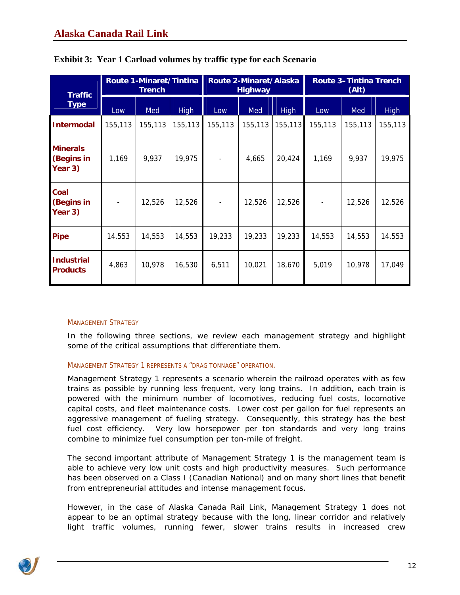| <b>Traffic</b><br><b>Type</b>            | <b>Route 1-Minaret/Tintina</b><br><b>Trench</b> |         |             | Route 2-Minaret/Alaska<br><b>Highway</b> |         |             | <b>Route 3-Tintina Trench</b><br>(Alt) |         |             |
|------------------------------------------|-------------------------------------------------|---------|-------------|------------------------------------------|---------|-------------|----------------------------------------|---------|-------------|
|                                          | Low                                             | Med     | <b>High</b> | Low                                      | Med     | <b>High</b> | Low                                    | Med     | <b>High</b> |
| <b>Intermodal</b>                        | 155,113                                         | 155,113 | 155, 113    | 155,113                                  | 155,113 | 155, 113    | 155,113                                | 155,113 | 155,113     |
| <b>Minerals</b><br>(Begins in<br>Year 3) | 1,169                                           | 9,937   | 19,975      |                                          | 4,665   | 20,424      | 1,169                                  | 9,937   | 19,975      |
| <b>Coal</b><br>(Begins in<br>Year 3)     |                                                 | 12,526  | 12,526      |                                          | 12,526  | 12,526      | $\overline{\phantom{a}}$               | 12,526  | 12,526      |
| <b>Pipe</b>                              | 14,553                                          | 14,553  | 14,553      | 19,233                                   | 19,233  | 19,233      | 14,553                                 | 14,553  | 14,553      |
| <b>Industrial</b><br><b>Products</b>     | 4,863                                           | 10,978  | 16,530      | 6,511                                    | 10,021  | 18,670      | 5,019                                  | 10,978  | 17,049      |

<span id="page-11-0"></span>

| Exhibit 3: Year 1 Carload volumes by traffic type for each Scenario |  |  |  |  |  |
|---------------------------------------------------------------------|--|--|--|--|--|
|                                                                     |  |  |  |  |  |

#### MANAGEMENT STRATEGY

In the following three sections, we review each management strategy and highlight some of the critical assumptions that differentiate them.

#### MANAGEMENT STRATEGY 1 REPRESENTS A "DRAG TONNAGE" OPERATION.

Management Strategy 1 represents a scenario wherein the railroad operates with as few trains as possible by running less frequent, very long trains. In addition, each train is powered with the minimum number of locomotives, reducing fuel costs, locomotive capital costs, and fleet maintenance costs. Lower cost per gallon for fuel represents an aggressive management of fueling strategy. Consequently, this strategy has the best fuel cost efficiency. Very low horsepower per ton standards and very long trains combine to minimize fuel consumption per ton-mile of freight.

The second important attribute of Management Strategy 1 is the management team is able to achieve very low unit costs and high productivity measures. Such performance has been observed on a Class I (Canadian National) and on many short lines that benefit from entrepreneurial attitudes and intense management focus.

However, in the case of Alaska Canada Rail Link, Management Strategy 1 does not appear to be an optimal strategy because with the long, linear corridor and relatively light traffic volumes, running fewer, slower trains results in increased crew

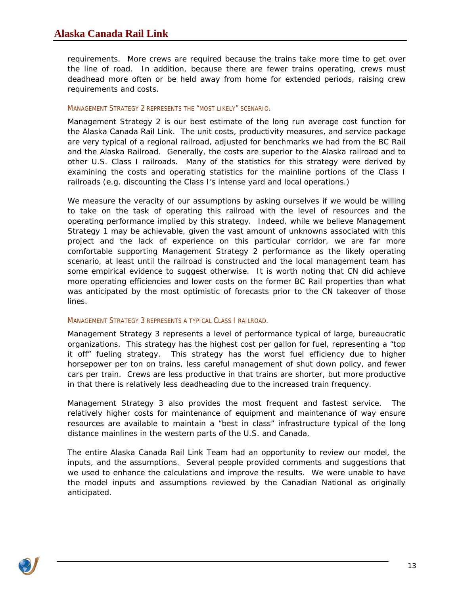<span id="page-12-0"></span>requirements. More crews are required because the trains take more time to get over the line of road. In addition, because there are fewer trains operating, crews must deadhead more often or be held away from home for extended periods, raising crew requirements and costs.

#### MANAGEMENT STRATEGY 2 REPRESENTS THE "MOST LIKELY" SCENARIO.

Management Strategy 2 is our best estimate of the long run average cost function for the Alaska Canada Rail Link. The unit costs, productivity measures, and service package are very typical of a regional railroad, adjusted for benchmarks we had from the BC Rail and the Alaska Railroad. Generally, the costs are superior to the Alaska railroad and to other U.S. Class I railroads. Many of the statistics for this strategy were derived by examining the costs and operating statistics for the mainline portions of the Class I railroads (e.g. discounting the Class I's intense yard and local operations.)

We measure the veracity of our assumptions by asking ourselves if we would be willing to take on the task of operating this railroad with the level of resources and the operating performance implied by this strategy. Indeed, while we believe Management Strategy 1 may be achievable, given the vast amount of unknowns associated with this project and the lack of experience on this particular corridor, we are far more comfortable supporting Management Strategy 2 performance as the likely operating scenario, at least until the railroad is constructed and the local management team has some empirical evidence to suggest otherwise. It is worth noting that CN did achieve more operating efficiencies and lower costs on the former BC Rail properties than what was anticipated by the most optimistic of forecasts prior to the CN takeover of those lines.

#### MANAGEMENT STRATEGY 3 REPRESENTS A TYPICAL CLASS I RAILROAD.

Management Strategy 3 represents a level of performance typical of large, bureaucratic organizations. This strategy has the highest cost per gallon for fuel, representing a "top it off" fueling strategy. This strategy has the worst fuel efficiency due to higher horsepower per ton on trains, less careful management of shut down policy, and fewer cars per train. Crews are less productive in that trains are shorter, but more productive in that there is relatively less deadheading due to the increased train frequency.

Management Strategy 3 also provides the most frequent and fastest service. The relatively higher costs for maintenance of equipment and maintenance of way ensure resources are available to maintain a "best in class" infrastructure typical of the long distance mainlines in the western parts of the U.S. and Canada.

The entire Alaska Canada Rail Link Team had an opportunity to review our model, the inputs, and the assumptions. Several people provided comments and suggestions that we used to enhance the calculations and improve the results. We were unable to have the model inputs and assumptions reviewed by the Canadian National as originally anticipated.

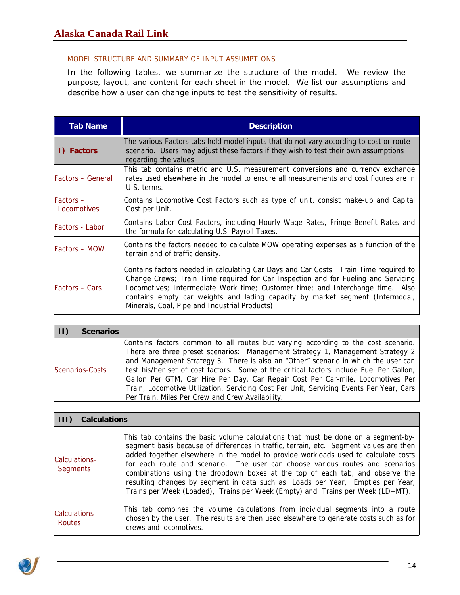## <span id="page-13-0"></span>MODEL STRUCTURE AND SUMMARY OF INPUT ASSUMPTIONS

In the following tables, we summarize the structure of the model. We review the purpose, layout, and content for each sheet in the model. We list our assumptions and describe how a user can change inputs to test the sensitivity of results.

| <b>Tab Name</b>          | <b>Description</b>                                                                                                                                                                                                                                                                                                                                                                               |
|--------------------------|--------------------------------------------------------------------------------------------------------------------------------------------------------------------------------------------------------------------------------------------------------------------------------------------------------------------------------------------------------------------------------------------------|
| I) Factors               | The various Factors tabs hold model inputs that do not vary according to cost or route<br>scenario. Users may adjust these factors if they wish to test their own assumptions<br>regarding the values.                                                                                                                                                                                           |
| <b>Factors - General</b> | This tab contains metric and U.S. measurement conversions and currency exchange<br>rates used elsewhere in the model to ensure all measurements and cost figures are in<br>U.S. terms.                                                                                                                                                                                                           |
| Factors-<br>Locomotives  | Contains Locomotive Cost Factors such as type of unit, consist make-up and Capital<br>Cost per Unit.                                                                                                                                                                                                                                                                                             |
| Factors - Labor          | Contains Labor Cost Factors, including Hourly Wage Rates, Fringe Benefit Rates and<br>the formula for calculating U.S. Payroll Taxes.                                                                                                                                                                                                                                                            |
| Factors - MOW            | Contains the factors needed to calculate MOW operating expenses as a function of the<br>terrain and of traffic density.                                                                                                                                                                                                                                                                          |
| <b>Factors – Cars</b>    | Contains factors needed in calculating Car Days and Car Costs: Train Time required to<br>Change Crews; Train Time required for Car Inspection and for Fueling and Servicing<br>Locomotives; Intermediate Work time; Customer time; and Interchange time. Also<br>contains empty car weights and lading capacity by market segment (Intermodal,<br>Minerals, Coal, Pipe and Industrial Products). |

| <b>Scenarios</b>       |                                                                                                                                                                                                                                                                                                                                                                                                                                                                                                                                                                                        |
|------------------------|----------------------------------------------------------------------------------------------------------------------------------------------------------------------------------------------------------------------------------------------------------------------------------------------------------------------------------------------------------------------------------------------------------------------------------------------------------------------------------------------------------------------------------------------------------------------------------------|
| <b>Scenarios-Costs</b> | Contains factors common to all routes but varying according to the cost scenario.<br>There are three preset scenarios: Management Strategy 1, Management Strategy 2<br>and Management Strategy 3. There is also an "Other" scenario in which the user can<br>test his/her set of cost factors. Some of the critical factors include Fuel Per Gallon,<br>Gallon Per GTM, Car Hire Per Day, Car Repair Cost Per Car-mile, Locomotives Per<br>Train, Locomotive Utilization, Servicing Cost Per Unit, Servicing Events Per Year, Cars<br>Per Train, Miles Per Crew and Crew Availability. |

| <b>Calculations</b>       |                                                                                                                                                                                                                                                                                                                                                                                                                                                                                                                                                                                                           |
|---------------------------|-----------------------------------------------------------------------------------------------------------------------------------------------------------------------------------------------------------------------------------------------------------------------------------------------------------------------------------------------------------------------------------------------------------------------------------------------------------------------------------------------------------------------------------------------------------------------------------------------------------|
| Calculations-<br>Segments | This tab contains the basic volume calculations that must be done on a segment-by-<br>segment basis because of differences in traffic, terrain, etc. Segment values are then<br>added together elsewhere in the model to provide workloads used to calculate costs<br>for each route and scenario. The user can choose various routes and scenarios<br>combinations using the dropdown boxes at the top of each tab, and observe the<br>resulting changes by segment in data such as: Loads per Year, Empties per Year,<br>Trains per Week (Loaded), Trains per Week (Empty) and Trains per Week (LD+MT). |
| Calculations-<br>Routes   | This tab combines the volume calculations from individual segments into a route<br>chosen by the user. The results are then used elsewhere to generate costs such as for<br>crews and locomotives.                                                                                                                                                                                                                                                                                                                                                                                                        |

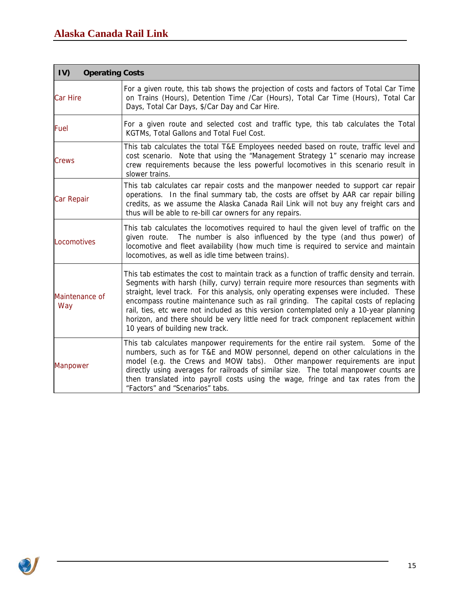| IV)<br><b>Operating Costs</b> |                                                                                                                                                                                                                                                                                                                                                                                                                                                                                                                                                                                           |
|-------------------------------|-------------------------------------------------------------------------------------------------------------------------------------------------------------------------------------------------------------------------------------------------------------------------------------------------------------------------------------------------------------------------------------------------------------------------------------------------------------------------------------------------------------------------------------------------------------------------------------------|
| Car Hire                      | For a given route, this tab shows the projection of costs and factors of Total Car Time<br>on Trains (Hours), Detention Time /Car (Hours), Total Car Time (Hours), Total Car<br>Days, Total Car Days, \$/Car Day and Car Hire.                                                                                                                                                                                                                                                                                                                                                            |
| Fuel                          | For a given route and selected cost and traffic type, this tab calculates the Total<br>KGTMs, Total Gallons and Total Fuel Cost.                                                                                                                                                                                                                                                                                                                                                                                                                                                          |
| Crews                         | This tab calculates the total T&E Employees needed based on route, traffic level and<br>cost scenario. Note that using the "Management Strategy 1" scenario may increase<br>crew requirements because the less powerful locomotives in this scenario result in<br>slower trains.                                                                                                                                                                                                                                                                                                          |
| Car Repair                    | This tab calculates car repair costs and the manpower needed to support car repair<br>operations. In the final summary tab, the costs are offset by AAR car repair billing<br>credits, as we assume the Alaska Canada Rail Link will not buy any freight cars and<br>thus will be able to re-bill car owners for any repairs.                                                                                                                                                                                                                                                             |
| Locomotives                   | This tab calculates the locomotives required to haul the given level of traffic on the<br>given route. The number is also influenced by the type (and thus power) of<br>locomotive and fleet availability (how much time is required to service and maintain<br>locomotives, as well as idle time between trains).                                                                                                                                                                                                                                                                        |
| Maintenance of<br>Way         | This tab estimates the cost to maintain track as a function of traffic density and terrain.<br>Segments with harsh (hilly, curvy) terrain require more resources than segments with<br>straight, level track. For this analysis, only operating expenses were included. These<br>encompass routine maintenance such as rail grinding. The capital costs of replacing<br>rail, ties, etc were not included as this version contemplated only a 10-year planning<br>horizon, and there should be very little need for track component replacement within<br>10 years of building new track. |
| <b>Manpower</b>               | This tab calculates manpower requirements for the entire rail system. Some of the<br>numbers, such as for T&E and MOW personnel, depend on other calculations in the<br>model (e.g. the Crews and MOW tabs). Other manpower requirements are input<br>directly using averages for railroads of similar size. The total manpower counts are<br>then translated into payroll costs using the wage, fringe and tax rates from the<br>"Factors" and "Scenarios" tabs.                                                                                                                         |

<u> 1989 - Johann Barbara, martxa alemaniar a</u>

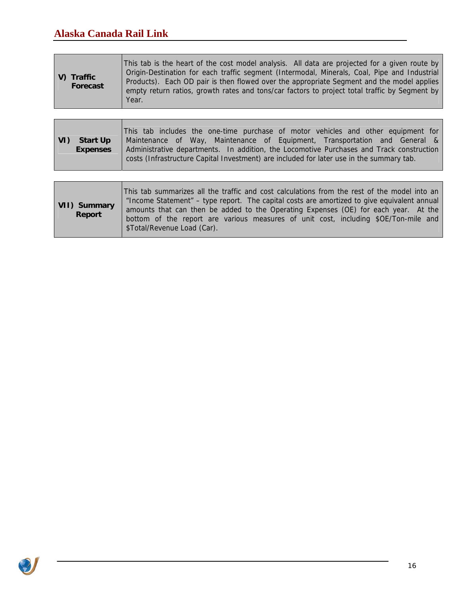| <b>Start Up</b><br><b>Expenses</b> | This tab includes the one-time purchase of motor vehicles and other equipment for<br>Maintenance of Way, Maintenance of Equipment, Transportation and General &<br>Administrative departments. In addition, the Locomotive Purchases and Track construction<br>costs (Infrastructure Capital Investment) are included for later use in the summary tab. |
|------------------------------------|---------------------------------------------------------------------------------------------------------------------------------------------------------------------------------------------------------------------------------------------------------------------------------------------------------------------------------------------------------|

<u> 1980 - Johann Barn, mars eta bainar eta idazlea (</u>

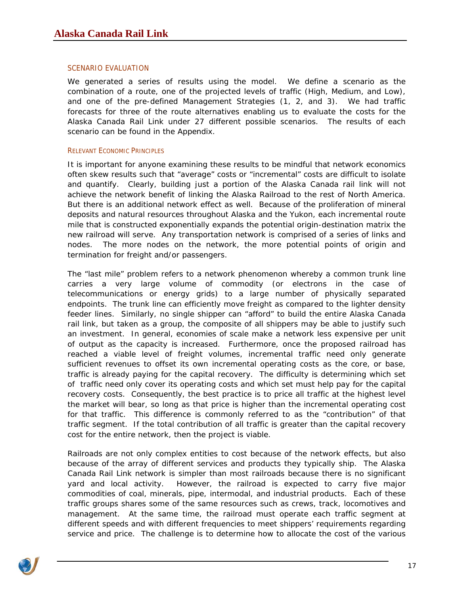#### <span id="page-16-0"></span>SCENARIO EVALUATION

We generated a series of results using the model. We define a scenario as the combination of a route, one of the projected levels of traffic (High, Medium, and Low), and one of the pre-defined Management Strategies (1, 2, and 3). We had traffic forecasts for three of the route alternatives enabling us to evaluate the costs for the Alaska Canada Rail Link under 27 different possible scenarios. The results of each scenario can be found in the Appendix.

#### RELEVANT ECONOMIC PRINCIPLES

It is important for anyone examining these results to be mindful that network economics often skew results such that "average" costs or "incremental" costs are difficult to isolate and quantify. Clearly, building just a portion of the Alaska Canada rail link will not achieve the network benefit of linking the Alaska Railroad to the rest of North America. But there is an additional network effect as well. Because of the proliferation of mineral deposits and natural resources throughout Alaska and the Yukon, each incremental route mile that is constructed exponentially expands the potential origin-destination matrix the new railroad will serve. Any transportation network is comprised of a series of links and nodes. The more nodes on the network, the more potential points of origin and termination for freight and/or passengers.

The "last mile" problem refers to a network phenomenon whereby a common trunk line carries a very large volume of commodity (or electrons in the case of telecommunications or energy grids) to a large number of physically separated endpoints. The trunk line can efficiently move freight as compared to the lighter density feeder lines. Similarly, no single shipper can "afford" to build the entire Alaska Canada rail link, but taken as a group, the composite of all shippers may be able to justify such an investment. In general, economies of scale make a network less expensive per unit of output as the capacity is increased. Furthermore, once the proposed railroad has reached a viable level of freight volumes, incremental traffic need only generate sufficient revenues to offset its own incremental operating costs as the core, or base, traffic is already paying for the capital recovery. The difficulty is determining which set of traffic need only cover its operating costs and which set must help pay for the capital recovery costs. Consequently, the best practice is to price all traffic at the highest level the market will bear, so long as that price is higher than the incremental operating cost for that traffic. This difference is commonly referred to as the "contribution" of that traffic segment. If the total contribution of all traffic is greater than the capital recovery cost for the entire network, then the project is viable.

Railroads are not only complex entities to cost because of the network effects, but also because of the array of different services and products they typically ship. The Alaska Canada Rail Link network is simpler than most railroads because there is no significant yard and local activity. However, the railroad is expected to carry five major commodities of coal, minerals, pipe, intermodal, and industrial products. Each of these traffic groups shares some of the same resources such as crews, track, locomotives and management. At the same time, the railroad must operate each traffic segment at different speeds and with different frequencies to meet shippers' requirements regarding service and price. The challenge is to determine how to allocate the cost of the various

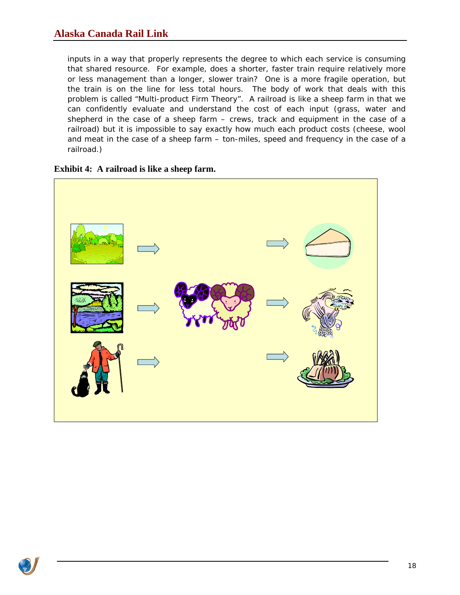inputs in a way that properly represents the degree to which each service is consuming that shared resource. For example, does a shorter, faster train require relatively more or less management than a longer, slower train? One is a more fragile operation, but the train is on the line for less total hours. The body of work that deals with this problem is called "Multi-product Firm Theory". A railroad is like a sheep farm in that we can confidently evaluate and understand the cost of each input (grass, water and shepherd in the case of a sheep farm – crews, track and equipment in the case of a railroad) but it is impossible to say exactly how much each product costs (cheese, wool and meat in the case of a sheep farm – ton-miles, speed and frequency in the case of a railroad.)



**Exhibit 4: A railroad is like a sheep farm.**

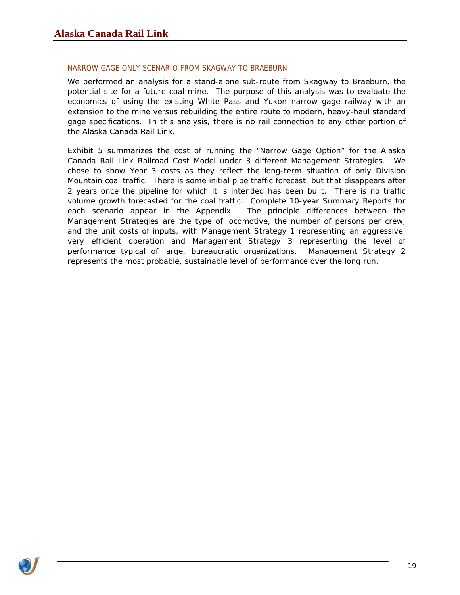### <span id="page-18-0"></span>NARROW GAGE ONLY SCENARIO FROM SKAGWAY TO BRAEBURN

We performed an analysis for a stand-alone sub-route from Skagway to Braeburn, the potential site for a future coal mine. The purpose of this analysis was to evaluate the economics of using the existing White Pass and Yukon narrow gage railway with an extension to the mine versus rebuilding the entire route to modern, heavy-haul standard gage specifications. In this analysis, there is no rail connection to any other portion of the Alaska Canada Rail Link.

[Exhibit 5](#page-19-0) summarizes the cost of running the "Narrow Gage Option" for the Alaska Canada Rail Link Railroad Cost Model under 3 different Management Strategies. We chose to show Year 3 costs as they reflect the long-term situation of only Division Mountain coal traffic. There is some initial pipe traffic forecast, but that disappears after 2 years once the pipeline for which it is intended has been built. There is no traffic volume growth forecasted for the coal traffic. Complete 10-year Summary Reports for each scenario appear in the Appendix. The principle differences between the Management Strategies are the type of locomotive, the number of persons per crew, and the unit costs of inputs, with Management Strategy 1 representing an aggressive, very efficient operation and Management Strategy 3 representing the level of performance typical of large, bureaucratic organizations. Management Strategy 2 represents the most probable, sustainable level of performance over the long run.

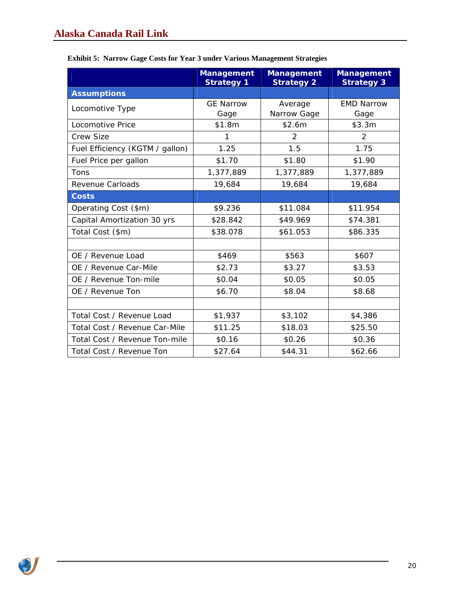|                                 | <b>Management</b><br><b>Strategy 1</b> | <b>Management</b><br><b>Strategy 2</b> | <b>Management</b><br><b>Strategy 3</b> |
|---------------------------------|----------------------------------------|----------------------------------------|----------------------------------------|
| <b>Assumptions</b>              |                                        |                                        |                                        |
| Locomotive Type                 | <b>GE Narrow</b><br>Gage               | Average<br>Narrow Gage                 | <b>EMD Narrow</b><br>Gage              |
| Locomotive Price                | \$1.8m                                 | \$2.6m                                 | \$3.3m                                 |
| Crew Size                       | 1                                      | $\mathcal{P}$                          | 2                                      |
| Fuel Efficiency (KGTM / gallon) | 1.25                                   | 1.5                                    | 1.75                                   |
| Fuel Price per gallon           | \$1.70                                 | \$1.80                                 | \$1.90                                 |
| Tons                            | 1,377,889                              | 1,377,889                              | 1,377,889                              |
| Revenue Carloads                | 19,684                                 | 19,684                                 | 19,684                                 |
| <b>Costs</b>                    |                                        |                                        |                                        |
| Operating Cost (\$m)            | \$9.236                                | \$11.084                               | \$11.954                               |
| Capital Amortization 30 yrs     | \$28.842                               | \$49.969                               | \$74.381                               |
| Total Cost (\$m)                | \$38.078                               | \$61.053                               | \$86.335                               |
|                                 |                                        |                                        |                                        |
| OE / Revenue Load               | \$469                                  | \$563                                  | \$607                                  |
| OE / Revenue Car-Mile           | \$2.73                                 | \$3.27                                 | \$3.53                                 |
| OE / Revenue Ton-mile           | \$0.04                                 | \$0.05                                 | \$0.05                                 |
| OE / Revenue Ton                | \$6.70                                 | \$8.04                                 | \$8.68                                 |
|                                 |                                        |                                        |                                        |
| Total Cost / Revenue Load       | \$1,937                                | \$3,102                                | \$4,386                                |
| Total Cost / Revenue Car-Mile   | \$11.25                                | \$18.03                                | \$25.50                                |
| Total Cost / Revenue Ton-mile   | \$0.16                                 | \$0.26                                 | \$0.36                                 |
| Total Cost / Revenue Ton        | \$27.64                                | \$44.31                                | \$62.66                                |

### <span id="page-19-0"></span>**Exhibit 5: Narrow Gage Costs for Year 3 under Various Management Strategies**

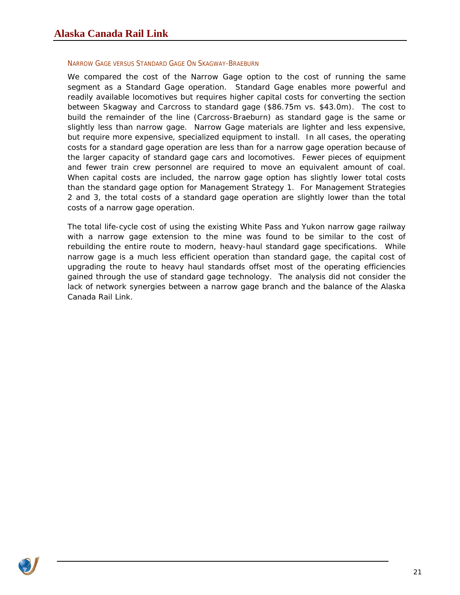#### <span id="page-20-0"></span>NARROW GAGE VERSUS STANDARD GAGE ON SKAGWAY-BRAEBURN

We compared the cost of the Narrow Gage option to the cost of running the same segment as a Standard Gage operation. Standard Gage enables more powerful and readily available locomotives but requires higher capital costs for converting the section between Skagway and Carcross to standard gage (\$86.75m vs. \$43.0m). The cost to build the remainder of the line (Carcross-Braeburn) as standard gage is the same or slightly less than narrow gage. Narrow Gage materials are lighter and less expensive, but require more expensive, specialized equipment to install. In all cases, the operating costs for a standard gage operation are less than for a narrow gage operation because of the larger capacity of standard gage cars and locomotives. Fewer pieces of equipment and fewer train crew personnel are required to move an equivalent amount of coal. When capital costs are included, the narrow gage option has slightly lower total costs than the standard gage option for Management Strategy 1. For Management Strategies 2 and 3, the total costs of a standard gage operation are slightly lower than the total costs of a narrow gage operation.

The total life-cycle cost of using the existing White Pass and Yukon narrow gage railway with a narrow gage extension to the mine was found to be similar to the cost of rebuilding the entire route to modern, heavy-haul standard gage specifications. While narrow gage is a much less efficient operation than standard gage, the capital cost of upgrading the route to heavy haul standards offset most of the operating efficiencies gained through the use of standard gage technology. The analysis did not consider the lack of network synergies between a narrow gage branch and the balance of the Alaska Canada Rail Link.

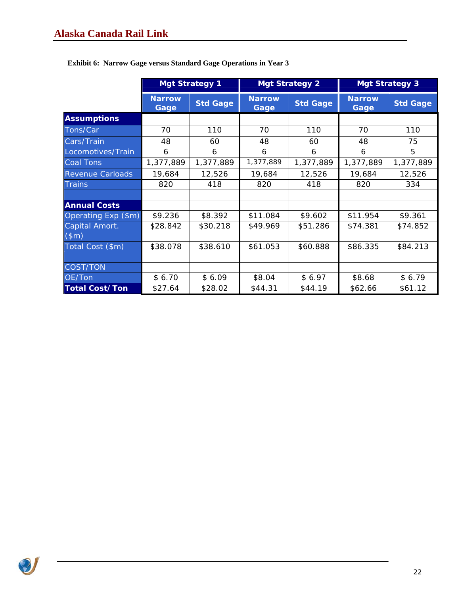|                         | <b>Mgt Strategy 1</b> |                 |                       | <b>Mgt Strategy 2</b> |                       | <b>Mgt Strategy 3</b> |
|-------------------------|-----------------------|-----------------|-----------------------|-----------------------|-----------------------|-----------------------|
|                         | <b>Narrow</b><br>Gage | <b>Std Gage</b> | <b>Narrow</b><br>Gage | <b>Std Gage</b>       | <b>Narrow</b><br>Gage | <b>Std Gage</b>       |
| <b>Assumptions</b>      |                       |                 |                       |                       |                       |                       |
| Tons/Car                | 70                    | 110             | 70                    | 110                   | 70                    | 110                   |
| Cars/Train              | 48                    | 60              | 48                    | 60                    | 48                    | 75                    |
| Locomotives/Train       | 6                     | 6               | 6                     | 6                     | 6                     | 5                     |
| <b>Coal Tons</b>        | 1,377,889             | 1,377,889       | 1,377,889             | 1,377,889             | 1,377,889             | 1,377,889             |
| <b>Revenue Carloads</b> | 19,684                | 12,526          | 19,684                | 12,526                | 19,684                | 12,526                |
| <b>Trains</b>           | 820                   | 418             | 820                   | 418                   | 820                   | 334                   |
|                         |                       |                 |                       |                       |                       |                       |
| <b>Annual Costs</b>     |                       |                 |                       |                       |                       |                       |
| Operating Exp (\$m)     | \$9.236               | \$8.392         | \$11.084              | \$9.602               | \$11.954              | \$9.361               |
| Capital Amort.          | \$28.842              | \$30.218        | \$49.969              | \$51.286              | \$74.381              | \$74.852              |
| (\$m)                   |                       |                 |                       |                       |                       |                       |
| Total Cost (\$m)        | \$38.078              | \$38.610        | \$61.053              | \$60.888              | \$86.335              | \$84.213              |
|                         |                       |                 |                       |                       |                       |                       |
| <b>COST/TON</b>         |                       |                 |                       |                       |                       |                       |
| OE/Ton                  | \$6.70                | \$6.09          | \$8.04                | \$6.97                | \$8.68                | \$6.79                |
| <b>Total Cost/Ton</b>   | \$27.64               | \$28.02         | \$44.31               | \$44.19               | \$62.66               | \$61.12               |

**Exhibit 6: Narrow Gage versus Standard Gage Operations in Year 3**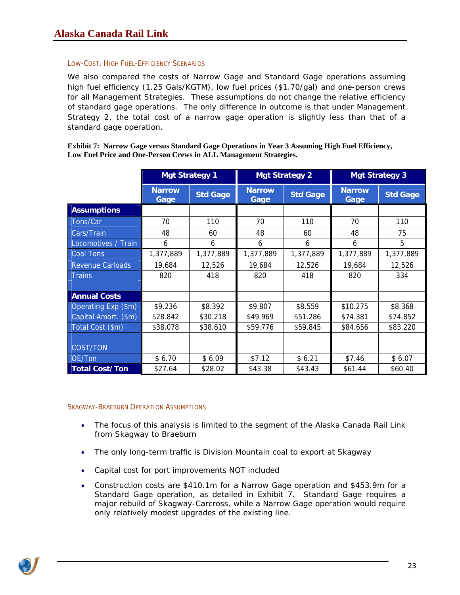#### <span id="page-22-0"></span>LOW-COST, HIGH FUEL-EFFICIENCY SCENARIOS

We also compared the costs of Narrow Gage and Standard Gage operations assuming high fuel efficiency (1.25 Gals/KGTM), low fuel prices (\$1.70/gal) and one-person crews for all Management Strategies. These assumptions do not change the relative efficiency of standard gage operations. The only difference in outcome is that under Management Strategy 2, the total cost of a narrow gage operation is *slightly* less than that of a standard gage operation.

|                         |                       | <b>Mgt Strategy 1</b> |           | <b>Mgt Strategy 2</b>                    |           | <b>Mgt Strategy 3</b> |
|-------------------------|-----------------------|-----------------------|-----------|------------------------------------------|-----------|-----------------------|
|                         | <b>Narrow</b><br>Gage | <b>Std Gage</b>       |           | <b>Narrow</b><br><b>Std Gage</b><br>Gage |           | <b>Std Gage</b>       |
| <b>Assumptions</b>      |                       |                       |           |                                          |           |                       |
| Tons/Car                | 70                    | 110                   | 70        | 110                                      | 70        | 110                   |
| Cars/Train              | 48                    | 60                    | 48        | 60                                       | 48        | 75                    |
| Locomotives / Train     | 6                     | 6                     | 6         | 6                                        | 6         | 5                     |
| Coal Tons               | 1,377,889             | 1,377,889             | 1,377,889 | 1,377,889                                | 1,377,889 | 1,377,889             |
| <b>Revenue Carloads</b> | 19,684                | 12,526                | 19,684    | 12,526                                   | 19,684    | 12,526                |
| Trains                  | 820                   | 418                   | 820       | 418                                      | 820       | 334                   |
|                         |                       |                       |           |                                          |           |                       |
| <b>Annual Costs</b>     |                       |                       |           |                                          |           |                       |
| Operating Exp (\$m)     | \$9.236               | \$8.392               | \$9.807   | \$8.559                                  | \$10.275  | \$8.368               |
| Capital Amort. (\$m)    | \$28.842              | \$30.218              | \$49.969  | \$51.286                                 | \$74.381  | \$74.852              |
| Total Cost (\$m)        | \$38.078              | \$38.610              | \$59.776  | \$59.845                                 | \$84.656  | \$83.220              |
|                         |                       |                       |           |                                          |           |                       |
| COST/TON                |                       |                       |           |                                          |           |                       |
| OE/Ton                  | \$6.70                | \$6.09                | \$7.12    | \$6.21                                   | \$7.46    | \$6.07                |
| <b>Total Cost/Ton</b>   | \$27.64               | \$28.02               | \$43.38   | \$43.43                                  | \$61.44   | \$60.40               |

**Exhibit 7: Narrow Gage versus Standard Gage Operations in Year 3 Assuming High Fuel Efficiency, Low Fuel Price and One-Person Crews in ALL Management Strategies.** 

SKAGWAY-BRAEBURN OPERATION ASSUMPTIONS

- The focus of this analysis is limited to the segment of the Alaska Canada Rail Link from Skagway to Braeburn
- The only long-term traffic is Division Mountain coal to export at Skagway
- Capital cost for port improvements NOT included
- Construction costs are \$410.1m for a Narrow Gage operation and \$453.9m for a Standard Gage operation, as detailed in Exhibit 7. Standard Gage requires a major rebuild of Skagway-Carcross, while a Narrow Gage operation would require only relatively modest upgrades of the existing line.

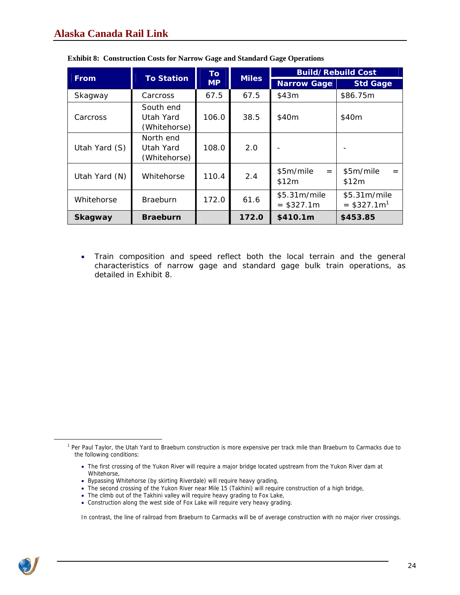|               | <b>To Station</b>                      | <b>To</b> | <b>Miles</b> |                             | <b>Build/Rebuild Cost</b>                 |
|---------------|----------------------------------------|-----------|--------------|-----------------------------|-------------------------------------------|
| <b>From</b>   |                                        | <b>MP</b> |              | <b>Narrow Gage</b>          | <b>Std Gage</b>                           |
| Skagway       | Carcross                               | 67.5      | 67.5         | \$43m                       | \$86.75m                                  |
| Carcross      | South end<br>Utah Yard<br>(Whitehorse) | 106.0     | 38.5         | \$40m                       | \$40m                                     |
| Utah Yard (S) | North end<br>Utah Yard<br>(Whitehorse) | 108.0     | 2.0          |                             |                                           |
| Utah Yard (N) | Whitehorse                             | 110.4     | 2.4          | \$5m/mile<br>$=$<br>\$12m   | \$5m/mile<br>\$12m                        |
| Whitehorse    | <b>Braeburn</b>                        | 172.0     | 61.6         | \$5.31m/mile<br>$= $327.1m$ | \$5.31m/mile<br>$=$ \$327.1m <sup>1</sup> |
| Skagway       | <b>Braeburn</b>                        |           | 172.0        | \$410.1m                    | \$453.85                                  |

|  |  |  |  |  | <b>Exhibit 8: Construction Costs for Narrow Gage and Standard Gage Operations</b> |
|--|--|--|--|--|-----------------------------------------------------------------------------------|
|--|--|--|--|--|-----------------------------------------------------------------------------------|

• Train composition and speed reflect both the local terrain and the general characteristics of narrow gage and standard gage bulk train operations, as detailed in Exhibit 8.

- Bypassing Whitehorse (by skirting Riverdale) will require heavy grading,
- The second crossing of the Yukon River near Mile 15 (Takhini) will require construction of a high bridge,
- The climb out of the Takhini valley will require heavy grading to Fox Lake,
- Construction along the west side of Fox Lake will require very heavy grading.

In contrast, the line of railroad from Braeburn to Carmacks will be of average construction with no major river crossings.



 $\overline{a}$ 

<span id="page-23-0"></span><sup>&</sup>lt;sup>1</sup> Per Paul Taylor, the Utah Yard to Braeburn construction is more expensive per track mile than Braeburn to Carmacks due to the following conditions:

<sup>•</sup> The first crossing of the Yukon River will require a major bridge located upstream from the Yukon River dam at Whitehorse,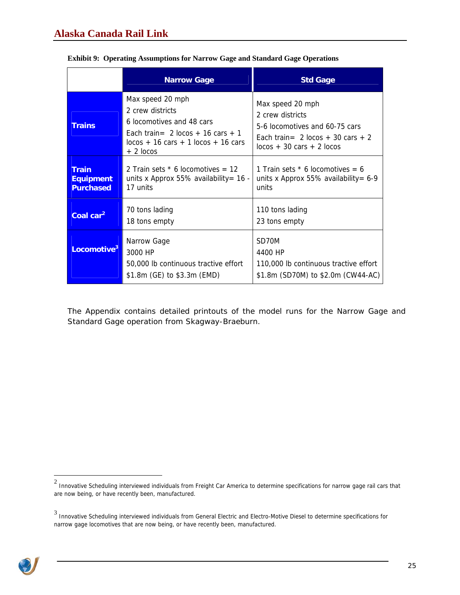|                                                      | <b>Narrow Gage</b>                                                                                                                                                                | <b>Std Gage</b>                                                                                                                                                |
|------------------------------------------------------|-----------------------------------------------------------------------------------------------------------------------------------------------------------------------------------|----------------------------------------------------------------------------------------------------------------------------------------------------------------|
| <b>Trains</b>                                        | Max speed 20 mph<br>2 crew districts<br>6 locomotives and 48 cars<br>Fach train= $2 \text{ locos } + 16 \text{ cars } + 1$<br>$locos + 16 cars + 1 locos + 16 cars$<br>$+2$ locos | Max speed 20 mph<br>2 crew districts<br>5-6 locomotives and 60-75 cars<br>Fach train= $2 \text{ locos } + 30 \text{ cars } + 2$<br>$locos + 30 cars + 2 locos$ |
| <b>Train</b><br><b>Equipment</b><br><b>Purchased</b> | 2 Train sets $*$ 6 locomotives = 12<br>units x Approx 55% availability = $16 -$<br>17 units                                                                                       | 1 Train sets $*$ 6 locomotives = 6<br>units x Approx 55% availability = $6-9$<br>units                                                                         |
| Coal car <sup>2</sup>                                | 70 tons lading<br>18 tons empty                                                                                                                                                   | 110 tons lading<br>23 tons empty                                                                                                                               |
| Locomotive <sup>3</sup>                              | Narrow Gage<br>3000 HP<br>50,000 lb continuous tractive effort<br>\$1.8m (GE) to \$3.3m (EMD)                                                                                     | SD70M<br>4400 HP<br>110,000 lb continuous tractive effort<br>\$1.8m (SD70M) to \$2.0m (CW44-AC)                                                                |

|  |  | <b>Exhibit 9: Operating Assumptions for Narrow Gage and Standard Gage Operations</b> |
|--|--|--------------------------------------------------------------------------------------|
|  |  |                                                                                      |

The Appendix contains detailed printouts of the model runs for the Narrow Gage and Standard Gage operation from Skagway-Braeburn.

<sup>3</sup> Innovative Scheduling interviewed individuals from General Electric and Electro-Motive Diesel to determine specifications for narrow gage locomotives that are now being, or have recently been, manufactured.



<span id="page-24-1"></span><span id="page-24-0"></span>ers on the Scheduling interviewed individuals from Freight Car America to determine specifications for narrow gage rail cars that  $^2$  Innovative Scheduling interviewed individuals from Freight Car America to determine spe are now being, or have recently been, manufactured.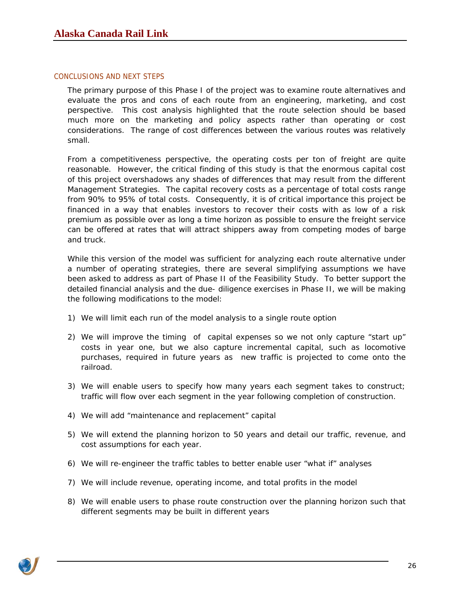#### <span id="page-25-0"></span>CONCLUSIONS AND NEXT STEPS

The primary purpose of this Phase I of the project was to examine route alternatives and evaluate the pros and cons of each route from an engineering, marketing, and cost perspective. This cost analysis highlighted that the route selection should be based much more on the marketing and policy aspects rather than operating or cost considerations. The range of cost differences between the various routes was relatively small.

From a competitiveness perspective, the operating costs per ton of freight are quite reasonable. However, the critical finding of this study is that the enormous capital cost of this project overshadows any shades of differences that may result from the different Management Strategies. The capital recovery costs as a percentage of total costs range from 90% to 95% of total costs. Consequently, it is of critical importance this project be financed in a way that enables investors to recover their costs with as low of a risk premium as possible over as long a time horizon as possible to ensure the freight service can be offered at rates that will attract shippers away from competing modes of barge and truck.

While this version of the model was sufficient for analyzing each route alternative under a number of operating strategies, there are several simplifying assumptions we have been asked to address as part of Phase II of the Feasibility Study. To better support the detailed financial analysis and the due- diligence exercises in Phase II, we will be making the following modifications to the model:

- 1) We will limit each run of the model analysis to a single route option
- 2) We will improve the timing of capital expenses so we not only capture "start up" costs in year one, but we also capture incremental capital, such as locomotive purchases, required in future years as new traffic is projected to come onto the railroad.
- 3) We will enable users to specify how many years each segment takes to construct; traffic will flow over each segment in the year following completion of construction.
- 4) We will add "maintenance and replacement" capital
- 5) We will extend the planning horizon to 50 years and detail our traffic, revenue, and cost assumptions for each year.
- 6) We will re-engineer the traffic tables to better enable user "what if" analyses
- 7) We will include revenue, operating income, and total profits in the model
- 8) We will enable users to phase route construction over the planning horizon such that different segments may be built in different years

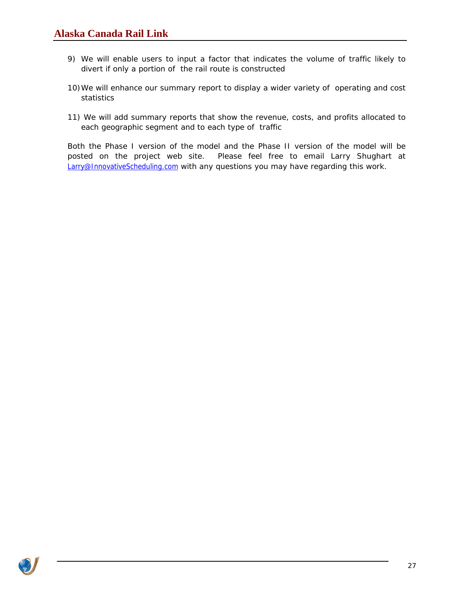- 9) We will enable users to input a factor that indicates the volume of traffic likely to divert if only a portion of the rail route is constructed
- 10)We will enhance our summary report to display a wider variety of operating and cost statistics
- 11) We will add summary reports that show the revenue, costs, and profits allocated to each geographic segment and to each type of traffic

Both the Phase I version of the model and the Phase II version of the model will be posted on the project web site. Please feel free to email Larry Shughart at [Larry@InnovativeScheduling.com](mailto:Larry@InnovativeScheduling.com) with any questions you may have regarding this work.

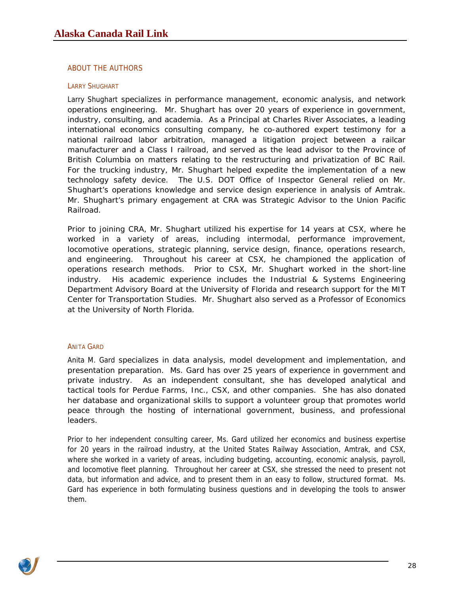### <span id="page-27-0"></span>ABOUT THE AUTHORS

#### LARRY SHUGHART

Larry Shughart specializes in performance management, economic analysis, and network operations engineering. Mr. Shughart has over 20 years of experience in government, industry, consulting, and academia. As a Principal at [Charles River Associates,](http://www.crai.com/) a leading international economics consulting company, he co-authored expert testimony for a national railroad labor arbitration, managed a litigation project between a railcar manufacturer and a Class I railroad, and served as the lead advisor to the Province of British Columbia on matters relating to the restructuring and privatization of BC Rail. For the trucking industry, Mr. Shughart helped expedite the implementation of a new technology safety device. The U.S. DOT Office of Inspector General relied on Mr. Shughart's operations knowledge and service design experience in analysis of Amtrak. Mr. Shughart's primary engagement at CRA was Strategic Advisor to the Union Pacific Railroad.

Prior to joining CRA, Mr. Shughart utilized his expertise for 14 years at [CSX](http://www.csx.com/), where he worked in a variety of areas, including intermodal, performance improvement, locomotive operations, strategic planning, service design, finance, operations research, and engineering. Throughout his career at CSX, he championed the application of operations research methods. Prior to CSX, Mr. Shughart worked in the short-line industry. His academic experience includes the [Industrial & Systems Engineering](http://www.ise.ufl.edu/)  [Department](http://www.ise.ufl.edu/) Advisory Board at the University of Florida and research support for the [MIT](http://web.mit.edu/ctl/www/)  [Center for Transportation Studies.](http://web.mit.edu/ctl/www/) Mr. Shughart also served as a Professor of Economics at the [University of North Florida.](http://www.unf.edu/)

#### ANITA GARD

Anita M. Gard specializes in data analysis, model development and implementation, and presentation preparation. Ms. Gard has over 25 years of experience in government and private industry. As an independent consultant, she has developed analytical and tactical tools for Perdue Farms, Inc., CSX, and other companies. She has also donated her database and organizational skills to support a volunteer group that promotes world peace through the hosting of international government, business, and professional leaders.

Prior to her independent consulting career, Ms. Gard utilized her economics and business expertise for 20 years in the railroad industry, at the United States Railway Association, Amtrak, and CSX, where she worked in a variety of areas, including budgeting, accounting, economic analysis, payroll, and locomotive fleet planning. Throughout her career at CSX, she stressed the need to present not data, but information and advice, and to present them in an easy to follow, structured format. Ms. Gard has experience in both formulating business questions and in developing the tools to answer them.

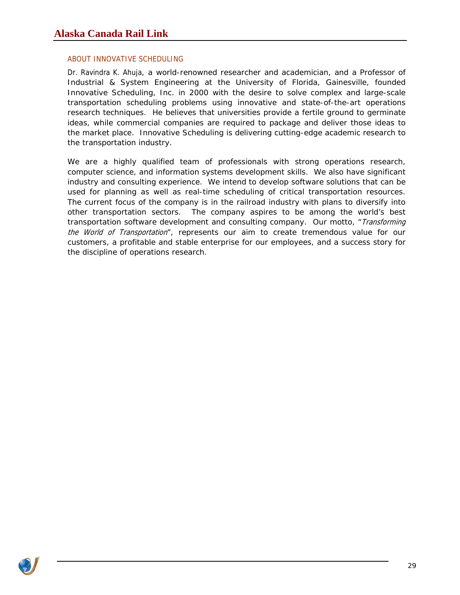### <span id="page-28-0"></span>ABOUT INNOVATIVE SCHEDULING

Dr. Ravindra K. Ahuja, a world-renowned researcher and academician, and a Professor of Industrial & System Engineering at the University of Florida, Gainesvill[e, founded](http://www.ise.ufl.edu/ahuja) Innovative Scheduling, Inc. in 2000 with the desire to solve complex and large-scale transportation scheduling problems using innovative and state-of-the-art operations research techniques. He believes that universities provide a fertile ground to germinate ideas, while commercial companies are required to package and deliver those ideas to the market place. Innovative Scheduling is delivering cutting-edge academic research to the transportation industry.

We are a highly qualified team of professionals with strong operations research, computer science, and information systems development skills. We also have significant industry and consulting experience. We intend to develop software solutions that can be used for planning as well as real-time scheduling of critical transportation resources. The current focus of the company is in the railroad industry with plans to diversify into other transportation sectors. The company aspires to be among the world's best transportation software development and consulting company. Our motto, *"Transforming* the World of Transportation", represents our aim to create tremendous value for our customers, a profitable and stable enterprise for our employees, and a success story for the discipline of operations research.

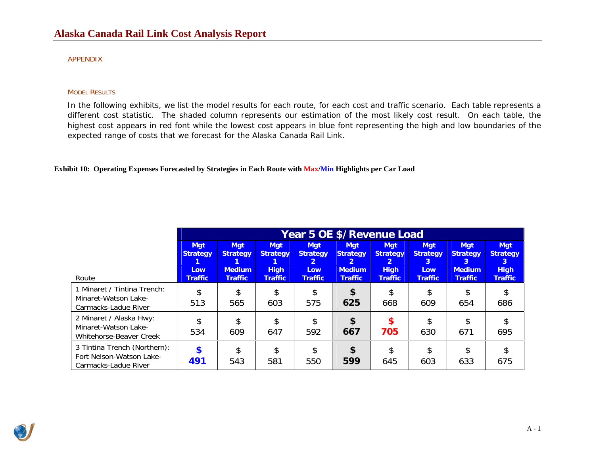#### APPENDIX

#### MODEL RESULTS

In the following exhibits, we list the model results for each route, for each cost and traffic scenario. Each table represents a different cost statistic. The shaded column represents our estimation of the most likely cost result. On each table, the highest cost appears in red font while the lowest cost appears in blue font representing the high and low boundaries of the expected range of costs that we forecast for the Alaska Canada Rail Link.

#### **Exhibit 10: Operating Expenses Forecasted by Strategies in Each Route with Max/Min Highlights per Car Load**

|                                                                                      | Year 5 OE \$/Revenue Load                   |                                                |                                              |                                                             |                                                                |                                                   |                                            |                                                     |                                                                   |  |  |
|--------------------------------------------------------------------------------------|---------------------------------------------|------------------------------------------------|----------------------------------------------|-------------------------------------------------------------|----------------------------------------------------------------|---------------------------------------------------|--------------------------------------------|-----------------------------------------------------|-------------------------------------------------------------------|--|--|
|                                                                                      | <b>Mgt</b><br><b>Strategy</b><br><b>Low</b> | <b>Mgt</b><br><b>Strategy</b><br><b>Medium</b> | <b>Mgt</b><br><b>Strategy</b><br><b>High</b> | <b>Mgt</b><br><b>Strategy</b><br>$\mathbf{2}$<br><b>Low</b> | <b>Mgt</b><br><b>Strategy</b><br>$\mathbf{2}$<br><b>Medium</b> | <b>Mgt</b><br><b>Strategy</b><br>2<br><b>High</b> | <b>Mgt</b><br><b>Strategy</b><br>3.<br>Low | <b>Mgt</b><br><b>Strategy</b><br>3<br><b>Medium</b> | <b>Mgt</b><br><b>Strategy</b><br>$\lceil 3 \rceil$<br><b>High</b> |  |  |
| Route<br>1 Minaret / Tintina Trench:<br>Minaret-Watson Lake-<br>Carmacks-Ladue River | <b>Traffic</b><br>\$<br>513                 | <b>Traffic</b><br>\$<br>565                    | <b>Traffic</b><br>\$<br>603                  | <b>Traffic</b><br>\$<br>575                                 | <b>Traffic</b><br>\$<br>625                                    | <b>Traffic</b><br>\$<br>668                       | <b>Traffic</b><br>609                      | <b>Traffic</b><br>\$<br>654                         | <b>Traffic</b><br>\$<br>686                                       |  |  |
| 2 Minaret / Alaska Hwy:<br>Minaret-Watson Lake-<br>Whitehorse-Beaver Creek           | \$<br>534                                   | \$<br>609                                      | \$<br>647                                    | \$<br>592                                                   | \$<br>667                                                      | $\boldsymbol{\mathsf{s}}$<br>705                  | 630                                        | \$<br>671                                           | \$<br>695                                                         |  |  |
| 3 Tintina Trench (Northern):<br>Fort Nelson-Watson Lake-<br>Carmacks-Ladue River     | $\boldsymbol{\hat{s}}$<br>491               | \$<br>543                                      | $\mathfrak{L}$<br>581                        | \$<br>550                                                   | \$<br>599                                                      | \$<br>645                                         | 603                                        | \$<br>633                                           | \$<br>675                                                         |  |  |

<span id="page-29-0"></span>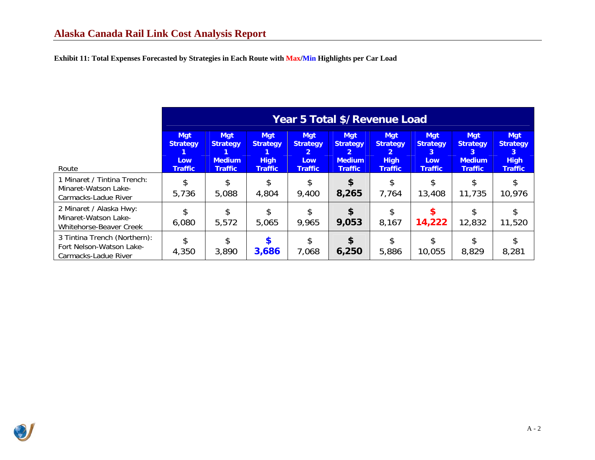**Exhibit 11: Total Expenses Forecasted by Strategies in Each Route with Max/Min Highlights per Car Load** 

|                                                                                   | Year 5 Total \$/Revenue Load                           |                                                                  |                                                                |                                                                                 |                                                                           |                                                                                  |                                                                        |                                                                       |                                                                     |  |
|-----------------------------------------------------------------------------------|--------------------------------------------------------|------------------------------------------------------------------|----------------------------------------------------------------|---------------------------------------------------------------------------------|---------------------------------------------------------------------------|----------------------------------------------------------------------------------|------------------------------------------------------------------------|-----------------------------------------------------------------------|---------------------------------------------------------------------|--|
| Route                                                                             | <b>Mgt</b><br><b>Strategy</b><br>Low<br><b>Traffic</b> | <b>Mgt</b><br><b>Strategy</b><br><b>Medium</b><br><b>Traffic</b> | <b>Mgt</b><br><b>Strategy</b><br><b>High</b><br><b>Traffic</b> | <b>Mgt</b><br><b>Strategy</b><br>$\mathbf{2}^{\prime}$<br>Low<br><b>Traffic</b> | Mgt<br><b>Strategy</b><br>$\mathbf{2}$<br><b>Medium</b><br><b>Traffic</b> | <b>Mgt</b><br><b>Strategy</b><br>$\overline{2}$<br><b>High</b><br><b>Traffic</b> | <b>Mgt</b><br><b>Strategy</b><br>$\mathbf{3}$<br>Low<br><b>Traffic</b> | <b>Mat</b><br><b>Strategy</b><br>3<br><b>Medium</b><br><b>Traffic</b> | <b>Mgt</b><br><b>Strategy</b><br>3<br><b>High</b><br><b>Traffic</b> |  |
| 1 Minaret / Tintina Trench:<br>Minaret-Watson Lake-<br>Carmacks-Ladue River       | \$<br>5,736                                            | 5,088                                                            | 4,804                                                          | \$<br>9,400                                                                     | \$<br>8,265                                                               | 7,764                                                                            | 13,408                                                                 | 11,735                                                                | 10,976                                                              |  |
| 2 Minaret / Alaska Hwy:<br>Minaret-Watson Lake-<br><b>Whitehorse-Beaver Creek</b> | \$<br>6,080                                            | 5,572                                                            | 5,065                                                          | \$<br>9,965                                                                     | \$<br>9,053                                                               | 8,167                                                                            | \$<br>14,222                                                           | 12,832                                                                | 11,520                                                              |  |
| 3 Tintina Trench (Northern):<br>Fort Nelson-Watson Lake-<br>Carmacks-Ladue River  | \$<br>4,350                                            | 3,890                                                            | 3,686                                                          | \$<br>7,068                                                                     | \$<br>6,250                                                               | 5,886                                                                            | \$<br>10,055                                                           | 8,829                                                                 | 8,281                                                               |  |

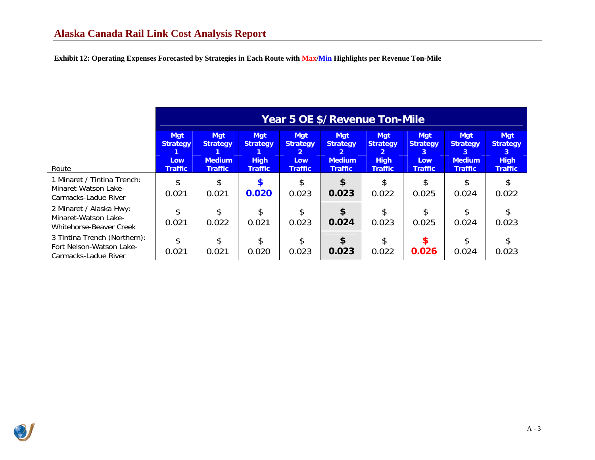**Exhibit 12: Operating Expenses Forecasted by Strategies in Each Route with Max/Min Highlights per Revenue Ton-Mile** 

|                                                                                  | Year 5 OE \$/Revenue Ton-Mile                          |                                                                  |                                                                |                                                               |                                                                                    |                                                                                  |                                                             |                                                                       |                                                                     |  |
|----------------------------------------------------------------------------------|--------------------------------------------------------|------------------------------------------------------------------|----------------------------------------------------------------|---------------------------------------------------------------|------------------------------------------------------------------------------------|----------------------------------------------------------------------------------|-------------------------------------------------------------|-----------------------------------------------------------------------|---------------------------------------------------------------------|--|
| Route                                                                            | <b>Mgt</b><br><b>Strategy</b><br>Low<br><b>Traffic</b> | <b>Mgt</b><br><b>Strategy</b><br><b>Medium</b><br><b>Traffic</b> | <b>Mgt</b><br><b>Strategy</b><br><b>High</b><br><b>Traffic</b> | <b>Mgt</b><br><b>Strategy</b><br><b>Low</b><br><b>Traffic</b> | <b>Mgt</b><br><b>Strategy</b><br>$\overline{2}$<br><b>Medium</b><br><b>Traffic</b> | <b>Mgt</b><br><b>Strategy</b><br>$\overline{2}$<br><b>High</b><br><b>Traffic</b> | <b>Mgt</b><br><b>Strategy</b><br>3<br>Low<br><b>Traffic</b> | <b>Mgt</b><br><b>Strategy</b><br>3<br><b>Medium</b><br><b>Traffic</b> | <b>Mgt</b><br><b>Strategy</b><br>3<br><b>High</b><br><b>Traffic</b> |  |
| 1 Minaret / Tintina Trench:<br>Minaret-Watson Lake-<br>Carmacks-Ladue River      | \$<br>0.021                                            | \$.<br>0.021                                                     | 0.020                                                          | 0.023                                                         | \$<br>0.023                                                                        | 0.022                                                                            | 0.025                                                       | 0.024                                                                 | \$<br>0.022                                                         |  |
| 2 Minaret / Alaska Hwy:<br>Minaret-Watson Lake-<br>Whitehorse-Beaver Creek       | \$<br>0.021                                            | \$<br>0.022                                                      | 0.021                                                          | 0.023                                                         | \$<br>0.024                                                                        | 0.023                                                                            | 0.025                                                       | 0.024                                                                 | \$<br>0.023                                                         |  |
| 3 Tintina Trench (Northern):<br>Fort Nelson-Watson Lake-<br>Carmacks-Ladue River | \$<br>0.021                                            | \$<br>0.021                                                      | 0.020                                                          | 0.023                                                         | \$<br>0.023                                                                        | 0.022                                                                            | \$.<br>0.026                                                | 0.024                                                                 | \$<br>0.023                                                         |  |

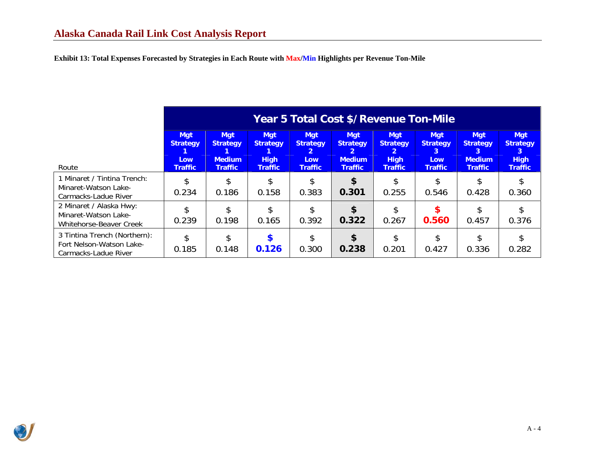**Exhibit 13: Total Expenses Forecasted by Strategies in Each Route with Max/Min Highlights per Revenue Ton-Mile** 

|                                                                                  | Year 5 Total Cost \$/Revenue Ton-Mile                  |                                                                  |                                                                |                                                                                 |                                                                                    |                                                                                  |                                                             |                                                                       |                                                                     |  |  |
|----------------------------------------------------------------------------------|--------------------------------------------------------|------------------------------------------------------------------|----------------------------------------------------------------|---------------------------------------------------------------------------------|------------------------------------------------------------------------------------|----------------------------------------------------------------------------------|-------------------------------------------------------------|-----------------------------------------------------------------------|---------------------------------------------------------------------|--|--|
| Route                                                                            | <b>Mgt</b><br><b>Strategy</b><br>Low<br><b>Traffic</b> | <b>Mgt</b><br><b>Strategy</b><br><b>Medium</b><br><b>Traffic</b> | <b>Mgt</b><br><b>Strategy</b><br><b>High</b><br><b>Traffic</b> | <b>Mgt</b><br><b>Strategy</b><br>$\overline{2}$<br><b>Low</b><br><b>Traffic</b> | <b>Mgt</b><br><b>Strategy</b><br>$\overline{2}$<br><b>Medium</b><br><b>Traffic</b> | <b>Mgt</b><br><b>Strategy</b><br>$\overline{2}$<br><b>High</b><br><b>Traffic</b> | <b>Mgt</b><br><b>Strategy</b><br>3<br>Low<br><b>Traffic</b> | <b>Mgt</b><br><b>Strategy</b><br>3<br><b>Medium</b><br><b>Traffic</b> | <b>Mgt</b><br><b>Strategy</b><br>3<br><b>High</b><br><b>Traffic</b> |  |  |
| 1 Minaret / Tintina Trench:<br>Minaret-Watson Lake-<br>Carmacks-Ladue River      | \$<br>0.234                                            | \$<br>0.186                                                      | 0.158                                                          | 0.383                                                                           | \$.<br>0.301                                                                       | 0.255                                                                            | 0.546                                                       | 0.428                                                                 | 0.360                                                               |  |  |
| 2 Minaret / Alaska Hwy:<br>Minaret-Watson Lake-<br>Whitehorse-Beaver Creek       | \$<br>0.239                                            | \$<br>0.198                                                      | 0.165                                                          | 0.392                                                                           | \$<br>0.322                                                                        | 0.267                                                                            | 0.560                                                       | 0.457                                                                 | 0.376                                                               |  |  |
| 3 Tintina Trench (Northern):<br>Fort Nelson-Watson Lake-<br>Carmacks-Ladue River | \$<br>0.185                                            | \$<br>0.148                                                      | 0.126                                                          | \$<br>0.300                                                                     | \$<br>0.238                                                                        | 0.201                                                                            | 0.427                                                       | 0.336                                                                 | 0.282                                                               |  |  |

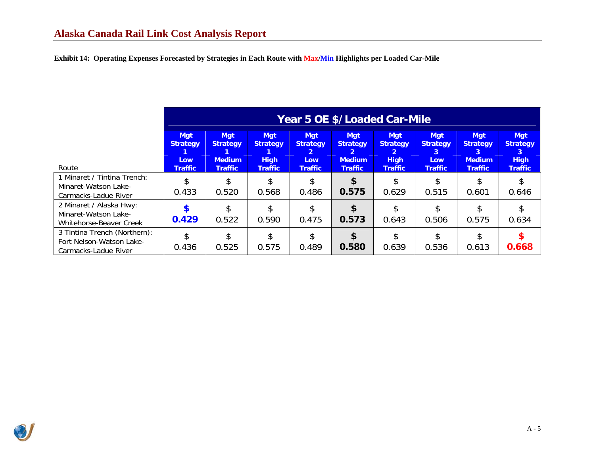**Exhibit 14: Operating Expenses Forecasted by Strategies in Each Route with Max/Min Highlights per Loaded Car-Mile** 

|                                                                                  | Year 5 OE \$/Loaded Car-Mile                           |                                                                  |                                                                |                                                             |                                                                                  |                                                                     |                                                                    |                                                                       |                                                                     |  |  |
|----------------------------------------------------------------------------------|--------------------------------------------------------|------------------------------------------------------------------|----------------------------------------------------------------|-------------------------------------------------------------|----------------------------------------------------------------------------------|---------------------------------------------------------------------|--------------------------------------------------------------------|-----------------------------------------------------------------------|---------------------------------------------------------------------|--|--|
| Route                                                                            | <b>Mgt</b><br><b>Strategy</b><br>Low<br><b>Traffic</b> | <b>Mgt</b><br><b>Strategy</b><br><b>Medium</b><br><b>Traffic</b> | <b>Mgt</b><br><b>Strategy</b><br><b>High</b><br><b>Traffic</b> | <b>Mgt</b><br><b>Strategy</b><br>2<br>Low<br><b>Traffic</b> | <b>Mgt</b><br><b>Strategy</b><br>$\mathbf{2}$<br><b>Medium</b><br><b>Traffic</b> | <b>Mgt</b><br><b>Strategy</b><br>2<br><b>High</b><br><b>Traffic</b> | <b>Mgt</b><br><b>Strategy</b><br>3<br><b>Low</b><br><b>Traffic</b> | <b>Mgt</b><br><b>Strategy</b><br>3<br><b>Medium</b><br><b>Traffic</b> | <b>Mgt</b><br><b>Strategy</b><br>3<br><b>High</b><br><b>Traffic</b> |  |  |
| 1 Minaret / Tintina Trench:<br>Minaret-Watson Lake-<br>Carmacks-Ladue River      | \$<br>0.433                                            | 0.520                                                            | 0.568                                                          | 0.486                                                       | 0.575                                                                            | 0.629                                                               | 0.515                                                              | 0.601                                                                 | 0.646                                                               |  |  |
| 2 Minaret / Alaska Hwy:<br>Minaret-Watson Lake-<br>Whitehorse-Beaver Creek       | \$<br>0.429                                            | 0.522                                                            | 0.590                                                          | 0.475                                                       | 0.573                                                                            | 0.643                                                               | 0.506                                                              | 0.575                                                                 | 0.634                                                               |  |  |
| 3 Tintina Trench (Northern):<br>Fort Nelson-Watson Lake-<br>Carmacks-Ladue River | \$<br>0.436                                            | 0.525                                                            | 0.575                                                          | 0.489                                                       | 0.580                                                                            | 0.639                                                               | 0.536                                                              | 0.613                                                                 | 0.668                                                               |  |  |

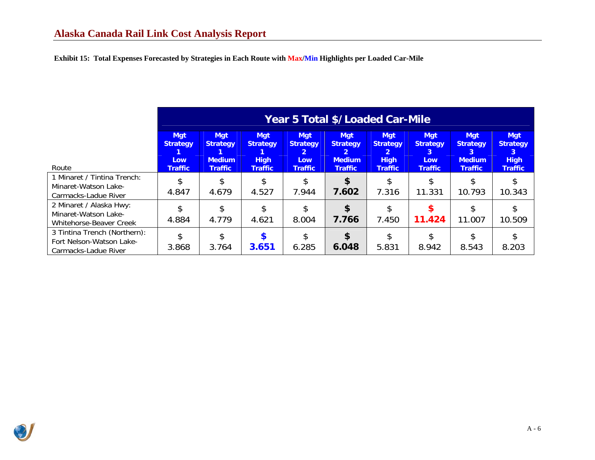**Exhibit 15: Total Expenses Forecasted by Strategies in Each Route with Max/Min Highlights per Loaded Car-Mile** 

|                                                                                  | Year 5 Total \$/Loaded Car-Mile                        |                                                                  |                                                                |                                                                    |                                                                       |                                                                                  |                                                             |                                                                  |                                                                     |  |  |
|----------------------------------------------------------------------------------|--------------------------------------------------------|------------------------------------------------------------------|----------------------------------------------------------------|--------------------------------------------------------------------|-----------------------------------------------------------------------|----------------------------------------------------------------------------------|-------------------------------------------------------------|------------------------------------------------------------------|---------------------------------------------------------------------|--|--|
| Route                                                                            | <b>Mgt</b><br><b>Strategy</b><br>Low<br><b>Traffic</b> | <b>Mgt</b><br><b>Strategy</b><br><b>Medium</b><br><b>Traffic</b> | <b>Mgt</b><br><b>Strategy</b><br><b>High</b><br><b>Traffic</b> | <b>Mgt</b><br><b>Strategy</b><br>2<br><b>Low</b><br><b>Traffic</b> | <b>Mgt</b><br><b>Strategy</b><br>2<br><b>Medium</b><br><b>Traffic</b> | <b>Mgt</b><br><b>Strategy</b><br>$\overline{2}$<br><b>High</b><br><b>Traffic</b> | <b>Mgt</b><br><b>Strategy</b><br>3<br>Low<br><b>Traffic</b> | <b>Mgt</b><br><b>Strategy</b><br><b>Medium</b><br><b>Traffic</b> | <b>Mgt</b><br><b>Strategy</b><br>3<br><b>High</b><br><b>Traffic</b> |  |  |
| 1 Minaret / Tintina Trench:<br>Minaret-Watson Lake-<br>Carmacks-Ladue River      | \$<br>4.847                                            | 4.679                                                            | 4.527                                                          | 7.944                                                              | \$<br>7.602                                                           | 7.316                                                                            | 11.331                                                      | 10.793                                                           | \$<br>10.343                                                        |  |  |
| 2 Minaret / Alaska Hwy:<br>Minaret-Watson Lake-<br>Whitehorse-Beaver Creek       | \$<br>4.884                                            | \$.<br>4.779                                                     | 4.621                                                          | \$<br>8.004                                                        | \$<br>7.766                                                           | \$<br>7.450                                                                      | \$<br>11.424                                                | 11.007                                                           | \$<br>10.509                                                        |  |  |
| 3 Tintina Trench (Northern):<br>Fort Nelson-Watson Lake-<br>Carmacks-Ladue River | \$<br>3.868                                            | \$.<br>3.764                                                     | 3.651                                                          | \$<br>6.285                                                        | \$<br>6.048                                                           | 5.831                                                                            | 8.942                                                       | 8.543                                                            | \$<br>8.203                                                         |  |  |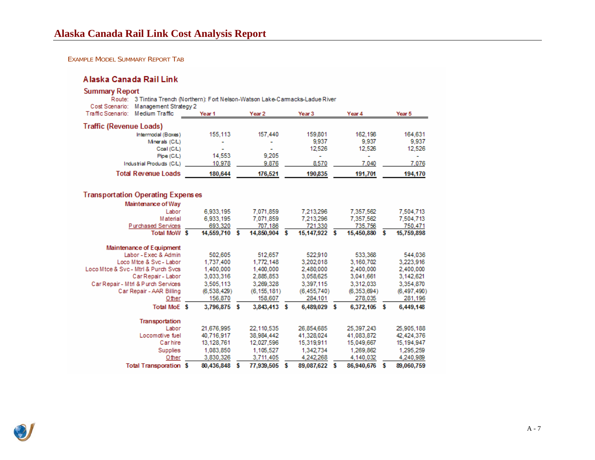#### EXAMPLE MODEL SUMMARY REPORT TAB

## Alaska Canada Rail Link

| <b>Summary Report</b>                                                                                                       |                   |   |               |   |                   |   |             |   |               |
|-----------------------------------------------------------------------------------------------------------------------------|-------------------|---|---------------|---|-------------------|---|-------------|---|---------------|
| Route: 3 Tintina Trench (Northern): Fort Nelson-Watson Lake-Carmacks-Ladue River<br>Management Strategy 2<br>Cost Scenario: |                   |   |               |   |                   |   |             |   |               |
| Medium Traffic<br>Traffic Scenario:                                                                                         | Year <sub>1</sub> |   | Year 2        |   | Year <sub>3</sub> |   | Year 4      |   | Year 5        |
| <b>Traffic (Revenue Loads)</b>                                                                                              |                   |   |               |   |                   |   |             |   |               |
| Intermodal (Boxes)                                                                                                          | 155,113           |   | 157.440       |   | 159,801           |   | 162,198     |   | 164,631       |
| Minerals (C/L)                                                                                                              |                   |   |               |   | 9,937             |   | 9.937       |   | 9.937         |
| Coal (C/L)                                                                                                                  |                   |   |               |   | 12,526            |   | 12.526      |   | 12.526        |
| Pipe (C/L)                                                                                                                  | 14,553            |   | 9,205         |   | ۰                 |   | ۰           |   |               |
| Industrial Products (C/L)                                                                                                   | 10,978            |   | 9,876         |   | 8,570             |   | 7,040       |   | 7,076         |
| <b>Total Revenue Loads</b>                                                                                                  | 180,644           |   | 176,521       |   | 190,835           |   | 191,701     |   | 194,170       |
|                                                                                                                             |                   |   |               |   |                   |   |             |   |               |
| <b>Transportation Operating Expenses</b>                                                                                    |                   |   |               |   |                   |   |             |   |               |
| Maintenance of Way                                                                                                          |                   |   |               |   |                   |   |             |   |               |
| Labor                                                                                                                       | 6,933,195         |   | 7,071,859     |   | 7,213,296         |   | 7,357,562   |   | 7,504,713     |
| Material                                                                                                                    | 6,933,195         |   | 7,071,859     |   | 7,213,296         |   | 7,357,562   |   | 7,504,713     |
| Purchased Services                                                                                                          | 693,320           |   | 707.186       |   | 721,330           |   | 735.756     |   | 750.471       |
| Total MoW \$                                                                                                                | 14,559,710 \$     |   | 14,850,904 \$ |   | 15,147,922 \$     |   | 15,450,880  | s | 15,759,898    |
| Maintenance of Equipment                                                                                                    |                   |   |               |   |                   |   |             |   |               |
| Labor - Exec & Admin                                                                                                        | 502.605           |   | 512,657       |   | 522,910           |   | 533,368     |   | 544,036       |
| Loco Mtce & Svc - Labor                                                                                                     | 1,737,400         |   | 1,772,148     |   | 3,202,018         |   | 3,160,702   |   | 3,223,916     |
| Loco Mtce & Svc - Mtrl & Purch Svcs                                                                                         | 1,400,000         |   | 1,400,000     |   | 2,480,000         |   | 2,400,000   |   | 2,400,000     |
| Car Repair - Labor                                                                                                          | 3,033,316         |   | 2,885,853     |   | 3,058,625         |   | 3,041,661   |   | 3,142,621     |
| Car Repair - Mtrl & Purch Services                                                                                          | 3,505,113         |   | 3,269,328     |   | 3,397,115         |   | 3,312,033   |   | 3,354,870     |
| Car Repair - AAR Billing                                                                                                    | (6,538,429)       |   | (6, 155, 181) |   | (6, 455, 740)     |   | (6,353,694) |   | (6, 497, 490) |
| Other                                                                                                                       | 156,870           |   | 158,607       |   | 284,101           |   | 278,035     |   | 281,196       |
| Total MoE \$                                                                                                                | 3,796,875 \$      |   | 3,843,413     | s | 6,489,029         | s | 6,372,105   | s | 6,449,148     |
| Transportation                                                                                                              |                   |   |               |   |                   |   |             |   |               |
| Labor                                                                                                                       | 21.676.995        |   | 22.110.535    |   | 26.854.685        |   | 25,397,243  |   | 25,905,188    |
| Locomotive fuel                                                                                                             | 40,716,917        |   | 38,984,442    |   | 41,328,024        |   | 41,083,872  |   | 42,424,376    |
| Carhire                                                                                                                     | 13,128,761        |   | 12,027,596    |   | 15,319,911        |   | 15,049,667  |   | 15, 194, 947  |
| Supplies                                                                                                                    | 1,083,850         |   | 1,105,527     |   | 1.342.734         |   | 1,269,862   |   | 1,295,259     |
| Other                                                                                                                       | 3,830,326         |   | 3,711,405     |   | 4,242,268         |   | 4,140,032   |   | 4,240,989     |
| <b>Total Transporation \$</b>                                                                                               | 80.436.848        | s | 77.939.505    | s | 89.087.622        | s | 86,940,676  | s | 89.060.759    |

<span id="page-35-0"></span>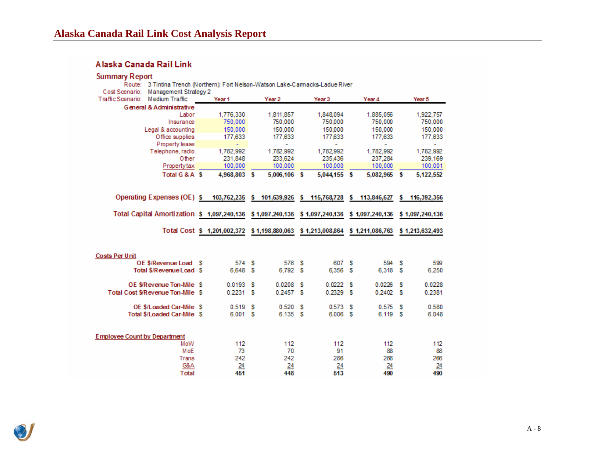## Alaska Canada Rail Link

## **Summary Report**

| 3 Tintina Trench (Northern): Fort Nelson-Watson Lake-Carmacks-Ladue River<br>Route: |   |                                                                                |     |                      |                      |     |                      |    |                      |
|-------------------------------------------------------------------------------------|---|--------------------------------------------------------------------------------|-----|----------------------|----------------------|-----|----------------------|----|----------------------|
| Cost Scenario: Management Strategy 2<br>Traffic Scenario: Medium Traffic            |   | Year <sub>1</sub>                                                              |     | Year 2               | Year 3               |     | Year 4               |    | Year 5               |
| <b>General &amp; Administrative</b>                                                 |   |                                                                                |     |                      |                      |     |                      |    |                      |
| Labor                                                                               |   |                                                                                |     |                      |                      |     |                      |    |                      |
| Insurance                                                                           |   | 1,776,330<br>750,000                                                           |     | 1,811,857<br>750,000 | 1,848,094<br>750,000 |     | 1,885,056<br>750,000 |    | 1,922,757<br>750,000 |
|                                                                                     |   | 150,000                                                                        |     | 150,000              | 150,000              |     | 150,000              |    |                      |
| Legal & accounting<br>Office supplies                                               |   | 177,633                                                                        |     | 177,633              | 177,633              |     | 177,633              |    | 150,000<br>177,633   |
| Property lease                                                                      |   |                                                                                |     | ÷                    | ٠                    |     |                      |    | ÷                    |
| Telephone, radio                                                                    |   | 1.782.992                                                                      |     | 1.782.992            | 1.782,992            |     | 1.782.992            |    | 1.782.992            |
| Other                                                                               |   | 231,848                                                                        |     | 233,624              | 235,436              |     | 237,284              |    | 239,169              |
| Propertytax                                                                         |   | 100,000                                                                        |     | 100,000              | 100,000              |     | 100,000              |    | 100,001              |
| Total G & A \$                                                                      |   | 4,968,803 \$                                                                   |     | 5,006,106 \$         | 5,044,155 \$         |     | 5,082,965 \$         |    | 5,122,552            |
|                                                                                     |   |                                                                                |     |                      |                      |     |                      |    |                      |
| Operating Expenses (OE) \$ 103,762,235 \$ 101,639,926 \$ 115,768,728                |   |                                                                                |     |                      |                      |     | \$113,846,627        | s  | 116,392,356          |
| Total Capital Amortization \$ 1,097,240,136 \$ 1,097,240,136 \$ 1,097,240,136       |   |                                                                                |     |                      |                      |     | \$1,097,240,136      |    | \$1,097,240,136      |
|                                                                                     |   | Total Cost \$ 1,201,002,372 \$ 1,198,880,063 \$ 1,213,008,864 \$ 1,211,086,763 |     |                      |                      |     |                      |    | \$1,213,632,493      |
| <b>Costs Per Unit</b>                                                               |   |                                                                                |     |                      |                      |     |                      |    |                      |
| OE \$/Revenue Load                                                                  | s | 574                                                                            | - S | 576 S                | 607 S                |     | 594                  | s  | 599                  |
| Total \$/Revenue Load \$                                                            |   | 6,648 \$                                                                       |     | 6,792 S              | 6,356 \$             |     | 6,318                | -S | 6,250                |
| OE S/Revenue Ton-Mile S                                                             |   | 0.0193                                                                         | s   | 0.0208 S             | 0.0222               | - S | 0.0226               | s  | 0.0228               |
| Total Cost S/Revenue Ton-Mile S                                                     |   | 0.2231                                                                         | s   | 0.2457 S             | 0.2329               | -S  | 0.2402               | -S | 0.2381               |
| OE \$/Loaded Car-Mile \$                                                            |   | 0.519S                                                                         |     | 0.520 S              | 0.573                | s   | 0.575                | s  | 0.580                |
| <b>Total \$/Loaded Car-Mile S</b>                                                   |   | 6.001 S                                                                        |     | 6.135 S              | 6,006 S              |     | 6.119 S              |    | 6.048                |
|                                                                                     |   |                                                                                |     |                      |                      |     |                      |    |                      |
| <b>Employee Count by Department</b>                                                 |   |                                                                                |     |                      |                      |     |                      |    |                      |
| MoW                                                                                 |   | 112                                                                            |     | 112                  | 112                  |     | 112                  |    | 112                  |
| MoE                                                                                 |   | 73                                                                             |     | 70                   | 91                   |     | 88                   |    | 88                   |
| Trans                                                                               |   | 242                                                                            |     | 242                  | 286                  |     | 266                  |    | 266                  |
| G&A                                                                                 |   | $\overline{24}$                                                                |     | 24                   | 24                   |     | 24                   |    | $\frac{24}{490}$     |
| Total                                                                               |   | 451                                                                            |     | 448                  | $5\overline{13}$     |     | 490                  |    |                      |

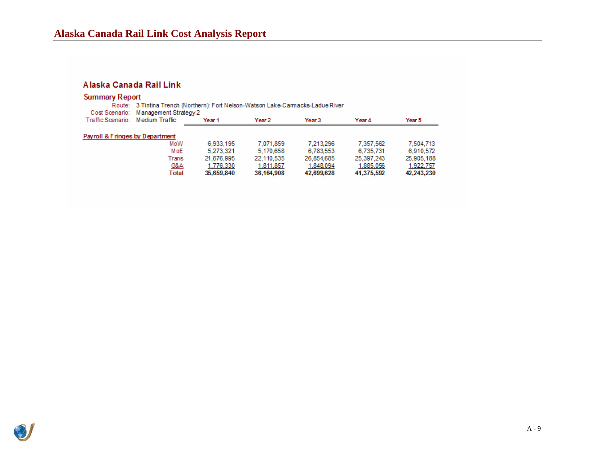## Alaska Canada Rail Link

| <b>Summary Report</b>            |                                                                                  |                                      |            |                   |            |            |  |  |  |  |  |  |
|----------------------------------|----------------------------------------------------------------------------------|--------------------------------------|------------|-------------------|------------|------------|--|--|--|--|--|--|
|                                  | Route: 3 Tintina Trench (Northern): Fort Nelson-Watson Lake-Carmacks-Ladue River |                                      |            |                   |            |            |  |  |  |  |  |  |
|                                  |                                                                                  | Cost Scenario: Management Strategy 2 |            |                   |            |            |  |  |  |  |  |  |
| Traffic Scenario: Medium Traffic |                                                                                  | Year <sub>1</sub>                    | Year 2     | Year <sub>3</sub> | Year 4     | Year 5     |  |  |  |  |  |  |
|                                  |                                                                                  |                                      |            |                   |            |            |  |  |  |  |  |  |
| Payroll & Fringes by Department  |                                                                                  |                                      |            |                   |            |            |  |  |  |  |  |  |
|                                  | MoW                                                                              | 6.933.195                            | 7.071.859  | 7.213.296         | 7.357.562  | 7.504.713  |  |  |  |  |  |  |
|                                  | MoE                                                                              | 5.273.321                            | 5.170.658  | 6.783,553         | 6.735.731  | 6.910.572  |  |  |  |  |  |  |
|                                  | Trans                                                                            | 21.676.995                           | 22.110.535 | 26.854.685        | 25.397.243 | 25,905,188 |  |  |  |  |  |  |
|                                  | <u>G&amp;A</u>                                                                   | 1.776.330                            | 1,811,857  | 1.848.094         | 1,885,056  | 1,922,757  |  |  |  |  |  |  |
|                                  | Total                                                                            | 35,659,840                           | 36,164,908 | 42,699,628        | 41,375,592 | 42,243,230 |  |  |  |  |  |  |
|                                  |                                                                                  |                                      |            |                   |            |            |  |  |  |  |  |  |

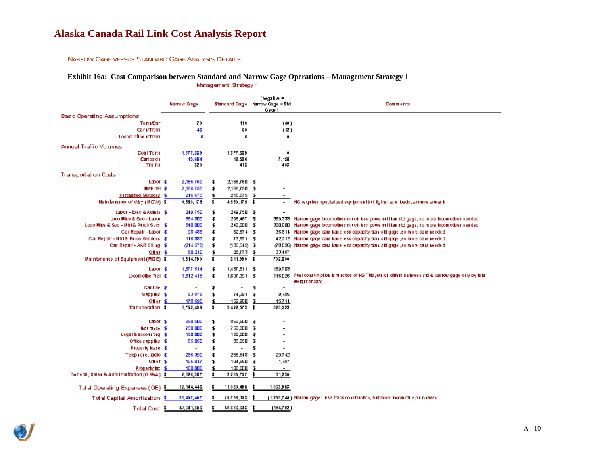#### NARROW GAGE VERSUS STANDARD GAGE ANALYSIS DETAILS

# **Exhibit 16a: Cost Comparison between Standard and Narrow Gage Operations – Management Strategy 1<br>Management Strategy 1**

|                                            | Narrow Gage        |          |                          |    | $(Ngatw =$<br>Standard Gage Marrow Gage ≺ Std<br>Galoen) | Comments                                                                                              |
|--------------------------------------------|--------------------|----------|--------------------------|----|----------------------------------------------------------|-------------------------------------------------------------------------------------------------------|
| Basic Operating Assumptions                |                    |          |                          |    |                                                          |                                                                                                       |
| <b>To natCan</b>                           | 70                 |          | 110                      |    | (40)                                                     |                                                                                                       |
| Cari/Train                                 | 48                 |          | 60                       |    | (12)                                                     |                                                                                                       |
| Locom off will Train                       | G                  |          | G                        |    | 0                                                        |                                                                                                       |
| Annual Traffic Volumes                     |                    |          |                          |    |                                                          |                                                                                                       |
| Coal Toms                                  | 1,377,889          |          | 1,377,889                |    | 0                                                        |                                                                                                       |
| Carloads                                   | 19,634             |          | 12,526                   |    | 7,158                                                    |                                                                                                       |
| Trains                                     | 820                |          | 418                      |    | 403                                                      |                                                                                                       |
| <b>Transportation Costs</b>                |                    |          |                          |    |                                                          |                                                                                                       |
| Labor \$                                   | 2,166,750          | \$       | 2,166,750 \$             |    |                                                          |                                                                                                       |
| Marte rital \$                             | 2,166,750          | \$       | 2,166,750 \$             |    |                                                          |                                                                                                       |
| Purchased Seruloes \$                      | 216,675            | \$       | 216 ஏ5 \$                |    |                                                          |                                                                                                       |
| Main fenance of Vidy (MOVA) \$             | 4,550, 175         | \$       | 4,550,175 \$             |    | -                                                        | NG requires specialized equipmentibut lighter axie loads; assume a was h                              |
| Labor - Exec & Admin \$                    | 249,750            | \$       | 249,750 \$               |    |                                                          |                                                                                                       |
| Loco Mibe & Suc - Labor                    | 664,800            | \$       | 295,467 \$               |    | 369,333                                                  | Narrow gage beomotives mitch less powerful than std gage, so more locomotives needed                  |
| Lodo Mite & Suc - Mitl& Purch Succ. \$     | 540,000            | \$       | 240,000 \$               |    | 300.QCD                                                  | Narrow gage boom othes mitch less powerful than std gage, so more locomothes needed                   |
| Car Repair - Labor \$                      | 98,488             | \$       | 62 ஏ ( \$                |    |                                                          | 35,814 Narrow gage cars liaue less capacity tial is to gage , so more cars leeded                     |
| Clar Repair - Mtri & Purch Serulces \$     | 116,033            | \$       | 73,871 \$                |    |                                                          | 42,212 Narrow gage cars have less capacity than std gage , so more cars needed                        |
| Car Repair - AAR Billing \$                | (214,57D)          | \$       | (136,545) \$             |    |                                                          | (18,025) Narrow gage cars have less capacity than std gage , so more cars reeded                      |
| Other \$                                   | 60,240             | \$       | 26,773                   | Ŧ  | 33,467                                                   |                                                                                                       |
| Maintenance of Equipment (MOE) \$          | 1,514,790          | \$       | $311,990$ \$             |    | 702,800                                                  |                                                                                                       |
| Labor \$                                   | 1,677,514          | Ŧ        | 1,487,811 \$             |    | 189,703                                                  |                                                                                                       |
| Locomothie fiel \$                         | 1,812,416          | \$       | 1,597,391 \$             |    |                                                          | 115,025 Felconstruption is function of KG TMs, which differs between std & narrow gage only by to tal |
| Carlille \$                                | $\blacksquare$     | \$       |                          | \$ | $\overline{\phantom{a}}$                                 | weight of cars                                                                                        |
| Supplies \$                                | 83,876             | \$       | 74,391                   | \$ | 9,485                                                    |                                                                                                       |
| Offer $$$                                  | 178,690            | \$       | 162,980 \$               |    | 15,711                                                   |                                                                                                       |
| Transporation \$                           | 3,752,496          | \$       | $3,422,573$ \$           |    | 329,923                                                  |                                                                                                       |
|                                            |                    |          |                          |    |                                                          |                                                                                                       |
| Labor \$F                                  | 850,500            | \$       | 850,500 \$               |    |                                                          |                                                                                                       |
| listrates \$<br>Legal & accounting \$      | 750.CDD<br>150,000 | \$<br>\$ | 750,000 \$<br>150,000 \$ |    |                                                          |                                                                                                       |
| Office supplies \$                         | 86,060             | \$       | 85.DSD \$                |    | $\overline{\phantom{0}}$                                 |                                                                                                       |
| Property lease \$                          | $\blacksquare$     | \$       | $\overline{\phantom{a}}$ | \$ | $\overline{\phantom{0}}$                                 |                                                                                                       |
| Telephone, adio \$                         | 285,390            | \$       | 255,648                  | F  | 29,742                                                   |                                                                                                       |
| Other \$                                   | 106,047            | \$       | 104,560 \$               |    | 1,437                                                    |                                                                                                       |
| Property tax \$                            | 100,000            | ₤        | 100,000                  | 埀  | $\overline{\phantom{a}}$                                 |                                                                                                       |
| General, Sales & Administration (G S&A) \$ | 2,326,987          | \$.      | 2,295,757                |    | 31,230                                                   |                                                                                                       |
|                                            |                    |          |                          |    |                                                          |                                                                                                       |
| Total Operating Expenses (OE) 5            | 12, 144, 448       |          | 11,030,495               |    | 1,063,953                                                |                                                                                                       |
| Total Capital Amortization \$              | 28,497,407         |          | 29,756,153               |    |                                                          | (1,258,745 ) Narrow gage: less track construction, but more locomotive purchases.                     |
| Total Cost 3                               | 40,641,856         |          | 40,836,648               | 3  | (194, 792)                                               |                                                                                                       |

<span id="page-38-0"></span>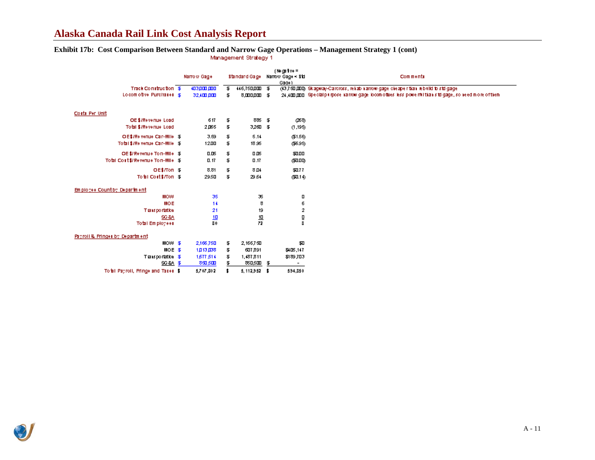## **Alaska Canada Rail Link Cost Analysis Report**

# **Exhibit 17b: Cost Comparison Between Standard and Narrow Gage Operations – Management Strategy 1 (cont)**

|                                      | Narrow Gage |                 |    | Standard Gage   |    | (Negative =<br>Narrow Gage < Std<br>Gade) | Comments                                                                                              |
|--------------------------------------|-------------|-----------------|----|-----------------|----|-------------------------------------------|-------------------------------------------------------------------------------------------------------|
| Track Construction \$                |             | 403,000,000     | Ŧ. | 446,750,000 \$  |    |                                           | (43,750,000) Sk agway-Caroross, reliablication gage cleaper than rebuild to std gage                  |
| Locom other Purchases S.             |             | 32,400,000      | \$ | 8,000,000 \$    |    |                                           | 24,400,000 Special purpose narrow gage locomotives less powerful than siti gage, so need more of them |
|                                      |             |                 |    |                 |    |                                           |                                                                                                       |
| Costs Per Unit                       |             |                 |    |                 |    |                                           |                                                                                                       |
| OE \$7Revenue Load                   |             | 617             | \$ | 885 \$          |    | (268)                                     |                                                                                                       |
| Total \$/Revenue Load                |             | 2,065           | \$ | 3,260 \$        |    | (1,195)                                   |                                                                                                       |
|                                      |             |                 |    |                 |    |                                           |                                                                                                       |
| OE\$7Re venue Car-Mile \$            |             | 3.59            | \$ | 5.14            |    | (\$1.56)                                  |                                                                                                       |
| Total \$7Re venue Car-Mile \$        |             | 1200            | \$ | 18.95           |    | (\$695)                                   |                                                                                                       |
| OE \$/Revenue To n-Mile \$           |             | 0.05            | \$ | 0 D5            |    | 3000                                      |                                                                                                       |
| Total Cost \$/Revenue Ton-Mile \$    |             | D.17            | \$ | 0.17            |    | முமற                                      |                                                                                                       |
| OE\$/Ton \$                          |             | 8.81            | \$ | 8 ⊔≮            |    | \$0.77                                    |                                                                                                       |
| Total Cost \$7Ton \$                 |             | 29.50           | \$ | 29.54           |    | (\$1.1.6)                                 |                                                                                                       |
|                                      |             |                 |    |                 |    |                                           |                                                                                                       |
| Employee Countby Department          |             |                 |    |                 |    |                                           |                                                                                                       |
| <b>MOW</b>                           |             | 35              |    | 35              |    | о                                         |                                                                                                       |
| MOE                                  |             | 14              |    | 8               |    | б                                         |                                                                                                       |
| <b>Tiansportation</b>                |             | 21              |    | 19              |    | 2                                         |                                                                                                       |
| <b>SG&amp;A</b>                      |             | $\frac{10}{80}$ |    | $\frac{10}{72}$ |    | n<br>B                                    |                                                                                                       |
| Total Employees                      |             |                 |    |                 |    |                                           |                                                                                                       |
|                                      |             |                 |    |                 |    |                                           |                                                                                                       |
| Payroll & Pringer by Department      |             |                 |    |                 |    |                                           |                                                                                                       |
| $MOM$ \$                             |             | 2,166,750       | \$ | 2,166,750       |    | अञ                                        |                                                                                                       |
| $MOE = 35$                           |             | 1月13月38         | \$ | 607,891         |    | \$405,147                                 |                                                                                                       |
| Transportation \$                    |             | 1,677,514       | \$ | 1,487,811       |    | \$189,703                                 |                                                                                                       |
| <b>SG&amp;A \$</b>                   |             | 850,500         | \$ | 850,500         | Ŧ. | ۰.                                        |                                                                                                       |
| To tall Payroll, Pringe and Tases \$ |             | 5,707,802       | \$ | $5,112,952$ \$  |    | 594,850                                   |                                                                                                       |

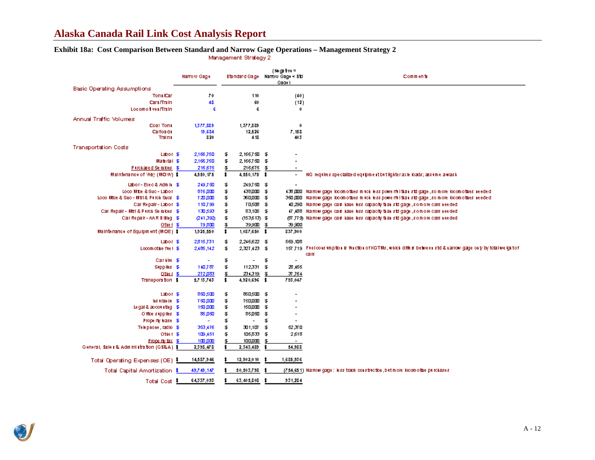## **Alaska Canada Rail Link Cost Analysis Report**

# **Exhibit 18a: Cost Comparison Between Standard and Narrow Gage Operations – Management Strategy 2**

|                                            | Narrow Gage            |          | Standard Gage Narrow Gage < Std |      | (Nega 1ve =              | Comments                                                                                                        |
|--------------------------------------------|------------------------|----------|---------------------------------|------|--------------------------|-----------------------------------------------------------------------------------------------------------------|
|                                            |                        |          |                                 |      | Gage)                    |                                                                                                                 |
| <b>Basic Operating Assumptions</b>         |                        |          |                                 |      |                          |                                                                                                                 |
| Ton #Car                                   | 70                     |          | 110                             |      | (40)                     |                                                                                                                 |
| Carl /Train<br>Locomo i ves/Train          | 48                     |          | 60                              |      | (12)                     |                                                                                                                 |
|                                            | G                      |          | G                               |      | 0                        |                                                                                                                 |
| Annual Traffic Volumes                     |                        |          |                                 |      |                          |                                                                                                                 |
| Coal Tons                                  | 1,377,889              |          | 1,377,889                       |      | 0                        |                                                                                                                 |
| Carloads                                   | 19,634                 |          | 12,526                          |      | 7.158                    |                                                                                                                 |
| Traini                                     | 820                    |          | 418                             |      | 403                      |                                                                                                                 |
| <b>Transportation Costs</b>                |                        |          |                                 |      |                          |                                                                                                                 |
| Labor \$                                   | 2,166,750              | Ŧ        | 2,166,7501 \$                   |      | $\blacksquare$           |                                                                                                                 |
| Material \$                                | 2,166,750              | Ŧ        | 2,166,750 \$                    |      |                          |                                                                                                                 |
| Perchased Senatoes \$                      | 216,675                | \$       | 216,675                         | Ŧ    |                          |                                                                                                                 |
| Maintenance of May (MOW) \$                | 4,550,175              | \$       | 4,550,175 \$                    |      | $\overline{\phantom{a}}$ | NG requires specialized equipment but lighter axie loads; assume a wash                                         |
| Labor-Brec& Admin \$                       | 249,750                | \$       | 249,750 \$                      |      |                          |                                                                                                                 |
| Loco Mite & Suc - Labor                    | 876,000                | \$       | 438.DDD \$                      |      | 433 DDD                  | Na now gage locom othes in tokiless powerful than std gage , so more locom othes heeded                         |
| Loco Mtce & Suc - Mtri & Purch Succ. \$    | 720.DD                 | \$       | 360Д00 \$                       |      |                          | 360 JDD. Na now gage locom o thes mitclikes powerful than std gage , so more locom o thesineeded                |
| Car Repair - Labor \$                      | 110,799                | \$       | 70,508 \$                       |      |                          | 40,290 Na mow gage cals have less capacity than stol gage , so more cars ree ded                                |
| Car Repair - Mtri & Pirroli Se ruloes \$   | 130,593                | \$       | 83,105 \$                       |      |                          | 47,488 Narrow gage cals have less capacity than std gage , so more cars reeded                                  |
| Car Repair - AAR Billing \$                | (241,392)              | \$       | $(153,613)$ \$                  |      |                          | (87,779) Nairow gage cals haue less capacity than std gage , so more cars needed                                |
| Other \$                                   | 79,8 <b>m</b>          | \$       | 39,9 <b>m</b>                   | \$   | 39,900                   |                                                                                                                 |
| Maintenance of Equipment (MOE) \$          | 1,925,550              | \$       | 1,037,650 \$                    |      | 837,900                  |                                                                                                                 |
|                                            |                        |          |                                 |      |                          |                                                                                                                 |
| Labor \$<br>Locomothe fiel \$              | 2,815,731<br>2,486,142 | \$<br>\$ | 2,246,622 \$<br>2,327,423 \$    |      | 569,108                  | 157,719 Freico is imption is friedlon of KGTMs, which diffels between std & narrow gage only by total weight of |
|                                            |                        |          |                                 |      |                          | cars                                                                                                            |
| Carille \$                                 | ۰                      | \$       | $\overline{\phantom{a}}$        | \$   | $\overline{\phantom{a}}$ |                                                                                                                 |
| Supplies \$                                | 140,787                | \$       | 112,331                         | F    | 28.455                   |                                                                                                                 |
| Other $$$                                  | 272,083                | ₤        | 234,319 \$                      |      | 37,764                   |                                                                                                                 |
| Transporation \$                           | 5,7 13,743             | \$       | 4,920,696 \$                    |      | 793,047                  |                                                                                                                 |
|                                            |                        |          |                                 |      |                          |                                                                                                                 |
| Labor \$                                   | 850, SID               | \$       | 85D, 5000 \$                    |      | $\overline{\phantom{0}}$ |                                                                                                                 |
| listrates \$                               | <b>750.000</b>         | \$       | <b>750.000</b>                  | - 35 |                          |                                                                                                                 |
| Legal & accounting \$                      | 150 DID                | \$       | 150.DDD                         | \$   |                          |                                                                                                                 |
| Office supplies \$                         | 86 நக                  | \$       | 85.DSD                          | \$   | $\overline{\phantom{a}}$ |                                                                                                                 |
| Property lease \$                          |                        | \$       | $\overline{\phantom{a}}$        | \$   | $\overline{\phantom{0}}$ |                                                                                                                 |
| Telephone, radio \$                        | 353,476                | \$       | 301,107                         | \$   | 52,37 D                  |                                                                                                                 |
| Other \$                                   | 109,451                | \$       | 106,833                         | \$   | 2,618                    |                                                                                                                 |
| Property tax \$                            | 100 DCD                | \$       | 100,000                         | \$   | $\overline{\phantom{a}}$ |                                                                                                                 |
| General, Sale i & Administration (GS&A) \$ | 2,398,478              |          | 2,343,489                       |      | 54,988                   |                                                                                                                 |
| Total Operating Expenses (OE) 5            | 14,537,946             |          | 12,902,010                      |      | 1,685,936                |                                                                                                                 |
| <b>Total Capital Amortization \$</b>       | 49,749,147             |          | 50,503,798                      |      |                          | (754,651) Narrow gage: less track construction, but more locom othe purchases.                                  |
| Total Cost 1                               | 64,337,093             |          | 63,405,808 \$                   |      | 931,284                  |                                                                                                                 |

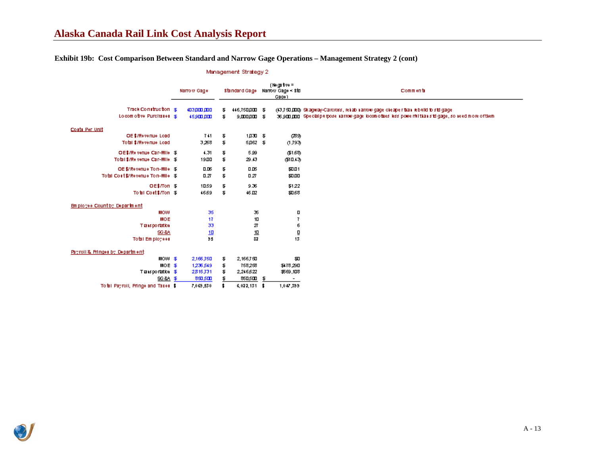### **Exhibit 19b: Cost Comparison Between Standard and Narrow Gage Operations – Management Strategy 2 (cont)**

|                                      | Narrow Gage |             |    | Standard Gage  |  | (Negative =<br>Narrow Gage < Std<br>Gade 1 | Comments                                                                                            |
|--------------------------------------|-------------|-------------|----|----------------|--|--------------------------------------------|-----------------------------------------------------------------------------------------------------|
| Track Construction \$                |             | 403.000.000 | Ŧ. | 446,750,000 \$ |  |                                            | (43,750,000) Skagway-Careross, reliablication gage cleaper than rebuild to std gage                 |
| Locom otive Purchases \$             |             | $459$ m nm  | Ŧ. | 9,0000003      |  |                                            | 36 gm mg Special purpose na mow gage locom othes less powerful than siti gage, so need more of them |
| Costs Per Unit                       |             |             |    |                |  |                                            |                                                                                                     |
| OE \$7Revenue Load                   |             | 741         | \$ | 1,030 \$       |  | (239)                                      |                                                                                                     |
| Total \$7Revenue Load                |             | 3,268       | Ŧ  | 5Д62 \$        |  | (1,793)                                    |                                                                                                     |
| OE\$/Reiveriue Car-Mille \$          |             | 4.31        | Ŧ  | 5.99           |  | (\$1.58)                                   |                                                                                                     |
| Total \$7Re venue Car-Mile \$        |             | 1900        | Ŧ. | 29.43          |  | (\$10.43)                                  |                                                                                                     |
| OE \$/Revenue To n-Mile \$           |             | 0.06        | \$ | 0 D5           |  | \$0.01                                     |                                                                                                     |
| Total Cost \$/Revenue Ton-Mile \$    |             | 0.27        | Ŧ  | 0.27           |  | \$0.00                                     |                                                                                                     |
| OE\$/Ton \$                          |             | 10.59       | Ŧ  | 9.36           |  | \$1.22                                     |                                                                                                     |
| Total Cost \$7Ton \$                 |             | 46.69       | Ŧ  | 46.02          |  | \$0.68                                     |                                                                                                     |
| Employee Countby Department          |             |             |    |                |  |                                            |                                                                                                     |
| <b>MOM</b>                           |             | 35          |    | 36             |  | О                                          |                                                                                                     |
| <b>MOE</b>                           |             | 17          |    | 10             |  | 7                                          |                                                                                                     |
| Tiansportation                       |             | 33          |    | 27             |  | 6                                          |                                                                                                     |
| <b>SG&amp;A</b>                      |             | 10          |    | <u>10</u>      |  | ₫                                          |                                                                                                     |
| Total Employees                      |             | 95          |    | 82             |  | 13                                         |                                                                                                     |
| Payroll & Pringer by Department      |             |             |    |                |  |                                            |                                                                                                     |
| $MOM = 3$                            |             | 2,166,750   | Ŧ  | 2,166,750      |  | \$U                                        |                                                                                                     |
| MOE \$                               |             | 1,236,549   | Ŧ  | 758.258        |  | \$478,290                                  |                                                                                                     |
| Transportation \$                    |             | 2,815,731   | \$ | 2,246,622      |  | \$569,108                                  |                                                                                                     |
| SG&A \$                              |             | 850, SCD    | F  | 85D,500 \$     |  | $\overline{\phantom{a}}$                   |                                                                                                     |
| To tall Payroll, Pringe and Tases \$ |             | 7,069,530   |    | $6,022,131$ \$ |  | 1,047,399                                  |                                                                                                     |



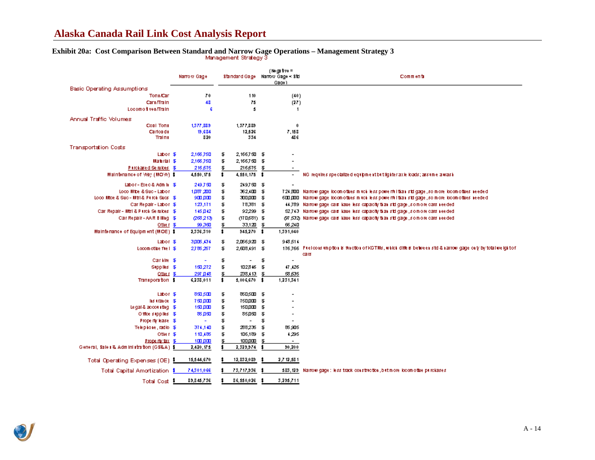## **Alaska Canada Rail Link Cost Analysis Report**

# **Exhibit 20a: Cost Comparison Between Standard and Narrow Gage Operations – Management Strategy 3**

|                                              | Narrow Gage   |    |                          |     | (Nega 1ve =<br>Standard Gage Narrow Gage < Std<br>Gage ) | Commenta                                                                                                                 |
|----------------------------------------------|---------------|----|--------------------------|-----|----------------------------------------------------------|--------------------------------------------------------------------------------------------------------------------------|
| <b>Basic Operating Assumptions</b>           |               |    |                          |     |                                                          |                                                                                                                          |
| Ton ( /Can                                   | 70            |    | 110                      |     | (40)                                                     |                                                                                                                          |
| Carl /Train                                  | 48            |    | 75                       |     | (27)                                                     |                                                                                                                          |
| Locomo i ves/Train                           | G             |    | 5                        |     | $\mathbf{1}$                                             |                                                                                                                          |
|                                              |               |    |                          |     |                                                          |                                                                                                                          |
| <b>Annual Traffic Volumes</b>                |               |    |                          |     |                                                          |                                                                                                                          |
| Coal Tons                                    | 1,377,889     |    | 1,377,889                |     | 0                                                        |                                                                                                                          |
| Carloads<br>Train L                          | 19,684<br>820 |    | 12,526<br>334            |     | 7,158<br>486                                             |                                                                                                                          |
|                                              |               |    |                          |     |                                                          |                                                                                                                          |
| <b>Transportation Costs</b>                  |               |    |                          |     |                                                          |                                                                                                                          |
| Labor \$                                     | 2,166,750     | \$ | 2,166,7500               | \$  | $\overline{\phantom{a}}$                                 |                                                                                                                          |
| Material \$                                  | 2,166,750     | \$ | 2,166,7500               | \$  |                                                          |                                                                                                                          |
| Pirchased Senatoes \$                        | 216,675       | \$ | 216,675                  | \$  |                                                          |                                                                                                                          |
| Maintenance of May (MOW) \$                  | 4,550,175     | \$ | 4,550,175 \$             |     | $\overline{\phantom{a}}$                                 | NG requires specialized equipment but lighter axie loads; assume a wash                                                  |
| Labor - Exec& Admin \$F                      | 249,750       | \$ | 249,750                  | \$⊺ |                                                          |                                                                                                                          |
| Loco Mite & Suc - Labor                      | 1,087,200     | \$ | 362,400 \$               |     |                                                          | 7.24,300 Na mow gage locom of these much less power militianistic gage , so more locom of thesine eded                   |
| Loco Mitce & Suc - Mitri & Purch Succ. \$    | $900 \mu m$   | \$ | 300,000                  | \$⊺ |                                                          | 6000,000. Na mow gage locom o thes mitcliks spower militianistic gage , so more locom o thesineeded.                     |
| Car Repair - Labor \$                        | 123,171       | \$ | 78,381 \$                |     |                                                          | 44,789 Narrow gage cas have less capacity than std gage , so more cars needed                                            |
| Car Repair - Mtri & Pierch Senalces \$       | 145,042       | \$ | 92,299 \$                |     |                                                          | 52,743 Na mow gage cals have less capacity than std gage , so more cars needed                                           |
| Car Repair - AAR Billing \$                  | 268,213       | \$ | (170,681) \$             |     |                                                          | (97,532). Na now gage cals have less capacity than std gage , so more cars needed.                                       |
| Other \$                                     | 99,360        | \$ | 33,120                   | \$  | 66,240                                                   |                                                                                                                          |
| Maintenance of Equipment (MOE) \$            | 2,336,310     | \$ | 945,270 \$               |     | 1,391,040                                                |                                                                                                                          |
|                                              |               |    |                          |     |                                                          |                                                                                                                          |
| Labor \$                                     | 3,005,434     | \$ | 2,056,920 \$             |     | 948,514                                                  |                                                                                                                          |
| Locomothe fiel \$                            | 2,786,257     | \$ | 2,608,491 \$             |     |                                                          | 176,766 Ftelco astrophola is function of KGTMs, which differs between std & narrow gage only by to fallweight of<br>cars |
| Carille \$                                   |               | \$ | $\overline{a}$           | \$  | $\blacksquare$                                           |                                                                                                                          |
| Supplies \$                                  | 150,272       | \$ | 102.846                  | \$  | 47,426                                                   |                                                                                                                          |
| Other \$                                     | 297 日48       | ₤  | $238,113$ \$             |     | 58 GJ S                                                  |                                                                                                                          |
| Transporation \$                             | 6,238,011     | \$ | 5,006,670 \$             |     | 1,231,341                                                |                                                                                                                          |
|                                              |               |    |                          |     |                                                          |                                                                                                                          |
| Labor \$                                     | 850, SID      | \$ | 850.500 \$               |     | $\overline{\phantom{0}}$                                 |                                                                                                                          |
| list trained \$                              | 750.000       | \$ | 750.000                  | \$  |                                                          |                                                                                                                          |
| Legal & accounting \$1                       | 150 加工        | \$ | 150.DOO                  | \$  |                                                          |                                                                                                                          |
| Office supplies \$                           | 86 DSD        | \$ | 85.DSD                   | \$  | $\overline{\phantom{a}}$                                 |                                                                                                                          |
| Property lease \$                            |               | \$ | $\overline{\phantom{0}}$ | \$  |                                                          |                                                                                                                          |
| Telephone, radio \$                          | 374,140       | \$ | 288,236                  | \$  | 85,905                                                   |                                                                                                                          |
| Other \$                                     | 110,485       | \$ | 106,189                  | \$  | 4,295                                                    |                                                                                                                          |
| Property tax \$                              | 100 DM        | \$ | 100,000                  | \$  | $\sim$                                                   |                                                                                                                          |
| General, Sale i & Adm ini stration (GS&A) \$ | 2,420,175     |    | 2,329,974                |     | 90,200                                                   |                                                                                                                          |
|                                              |               |    |                          |     |                                                          |                                                                                                                          |
| Total Operating Expenses (OE) 5              | 15,544,670    |    | 12,832,089               |     | 2,7 12,58 1                                              |                                                                                                                          |
| <b>Total Capital Amortization \$</b>         | 74,301,066    |    | 73,717,936               |     |                                                          | 583,129 Na mow gage: less track construction, but more locom o the purchases                                             |
| Total Cost 1                                 | 89,845,736    |    | 86,550,026               |     | 3,295,711                                                |                                                                                                                          |

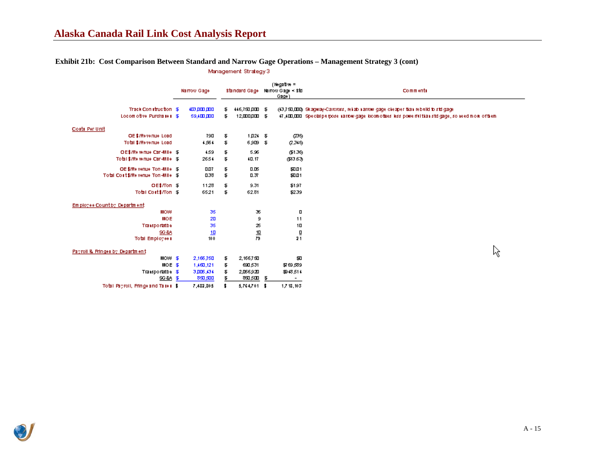#### **Exhibit 21b: Cost Comparison Between Standard and Narrow Gage Operations – Management Strategy 3 (cont)**Management Strategy3

|                                    | Narrow Gage |             | Standard Gage |                  | $(Ngatw =$<br>Narrow Gage ≺ Std<br>Gage) | Comments                                                                                             |  |  |  |  |
|------------------------------------|-------------|-------------|---------------|------------------|------------------------------------------|------------------------------------------------------------------------------------------------------|--|--|--|--|
| Track Construction \$              |             | 403.000.000 | F             | 446,750,000 \$   |                                          | (13,750,000) Skagway-Caroross, reliablicarrow gage cleaper than rebuild to std gage                  |  |  |  |  |
| Locom otive Purchases \$           |             | 59.400 DDD  | £.            | $12,000,000 = 3$ |                                          | 47,400,000 Special purpose sarrow gage locom othes less powerful than std gage, so need more of them |  |  |  |  |
| Costs Per Unit                     |             |             |               |                  |                                          |                                                                                                      |  |  |  |  |
| OE \$7Revenue Load                 |             | 790         | \$            | $1,024$ \$       | മ്പ്ര                                    |                                                                                                      |  |  |  |  |
| Total \$/Revenue Load              |             | 4,564       | \$            | 6,909 \$         | 2,315)                                   |                                                                                                      |  |  |  |  |
| OE\$/Relenue Can-Mille S           |             | 4.59        | \$            | 5.96             | (\$1.36)                                 |                                                                                                      |  |  |  |  |
| Total \$7Re wings Car-Mile \$      |             | 26.54       | \$            | 40.17            | (\$13.63).                               |                                                                                                      |  |  |  |  |
| OE \$/Relveriue Tori-Mille \$      |             | 0.07        | \$            | 0.05             | \$0.01                                   |                                                                                                      |  |  |  |  |
| Total Cout \$/Revenue Ton-Mille \$ |             | 0.38        | \$            | 0.37             | \$0.01                                   |                                                                                                      |  |  |  |  |
| OE\$/Ton \$                        |             | 11.28       | \$            | 9.31             | \$1.97                                   |                                                                                                      |  |  |  |  |
| Total Cost \$7Ton \$               |             | 65.21       | \$            | 62.81            | \$2.39                                   |                                                                                                      |  |  |  |  |
| Employee Countby, Department       |             |             |               |                  |                                          |                                                                                                      |  |  |  |  |
| <b>MOM</b>                         |             | 35          |               | 36               | п                                        |                                                                                                      |  |  |  |  |
| MOE                                |             | 20          |               | 9                | 11                                       |                                                                                                      |  |  |  |  |
| <b>Transportatba</b>               |             | 35          |               | 25               | 10                                       |                                                                                                      |  |  |  |  |
| <b>SG &amp;A</b>                   |             | 10          |               | $\frac{10}{79}$  | ō                                        |                                                                                                      |  |  |  |  |
| <b>Total Employees</b>             |             | 100         |               |                  | 21                                       |                                                                                                      |  |  |  |  |
| Payroll & Fringer by Department    |             |             |               |                  |                                          | ん                                                                                                    |  |  |  |  |
| $MOM$ \$                           |             | 2,166,750   | Ŧ.            | 2,166,750        | \$0                                      |                                                                                                      |  |  |  |  |
| MOE \$                             |             | 1,460,121   | \$            | 690,531          | \$769,539                                |                                                                                                      |  |  |  |  |
| Transportatbe \$                   |             | 3,006,434   | \$            | 2,066,920        | 39948,514                                |                                                                                                      |  |  |  |  |
| SG&A \$                            |             | 850,500     | £.            | ை தடம் <b>ச</b>  |                                          |                                                                                                      |  |  |  |  |
| Total Payroll, Pringe and Taxes \$ |             | 7,482,805   |               | 5,764,701 \$     | 1,7 18, 10 3                             |                                                                                                      |  |  |  |  |